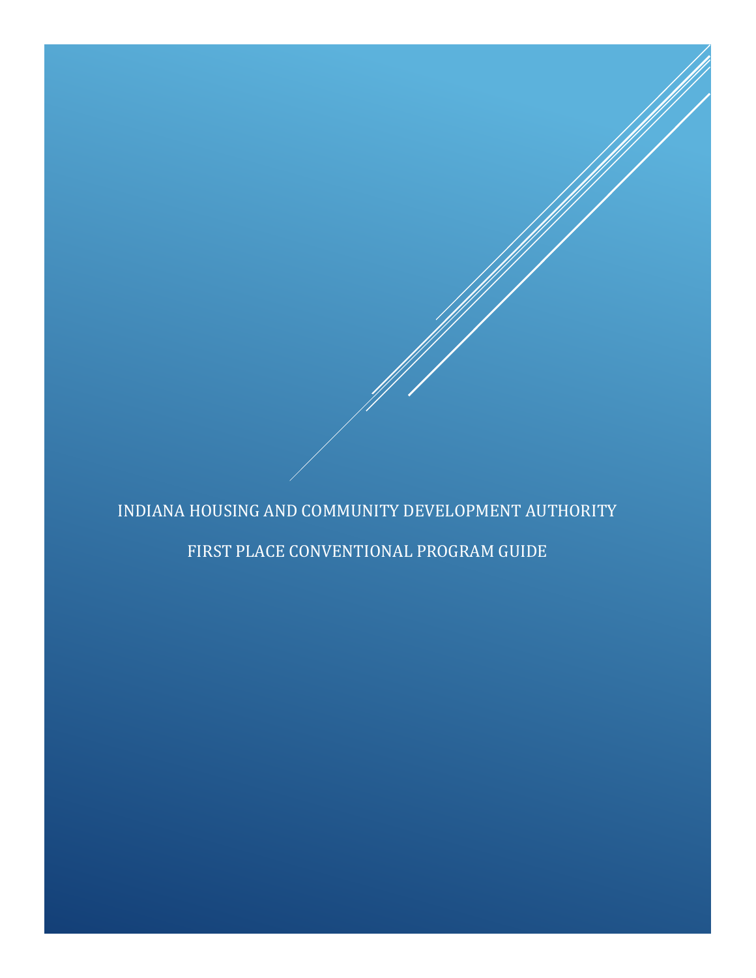# INDIANA HOUSING AND COMMUNITY DEVELOPMENT AUTHORITY

## FIRST PLACE CONVENTIONAL PROGRAM GUIDE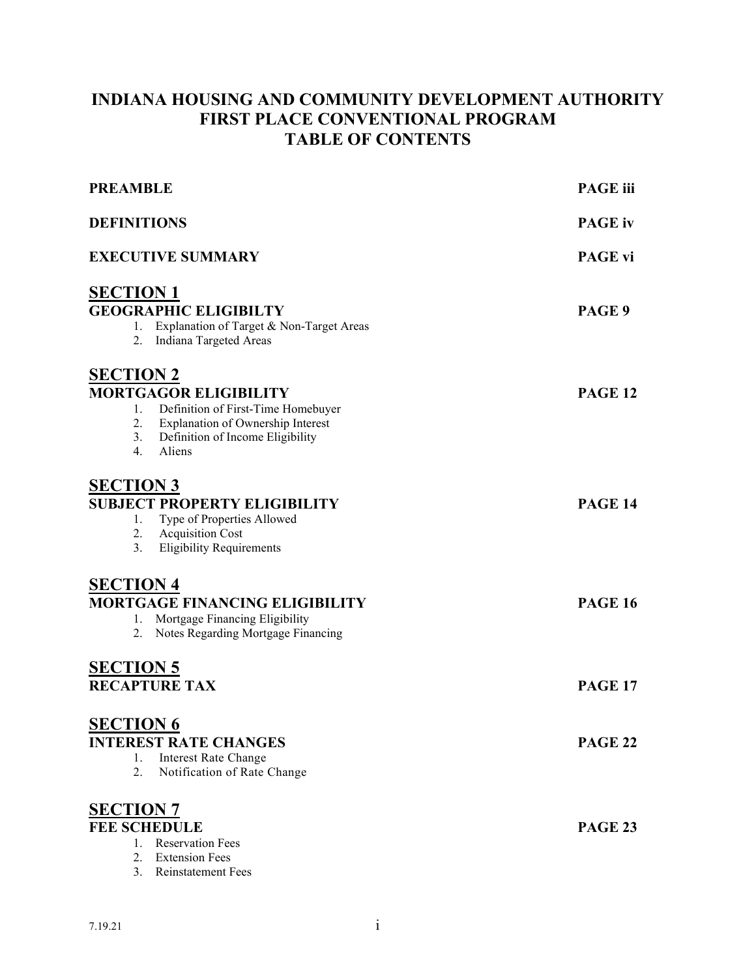## **INDIANA HOUSING AND COMMUNITY DEVELOPMENT AUTHORITY FIRST PLACE CONVENTIONAL PROGRAM TABLE OF CONTENTS**

| <b>PREAMBLE</b>                                                                                                                                                      | <b>PAGE</b> iii |
|----------------------------------------------------------------------------------------------------------------------------------------------------------------------|-----------------|
| <b>DEFINITIONS</b>                                                                                                                                                   | <b>PAGE</b> iv  |
| <b>EXECUTIVE SUMMARY</b>                                                                                                                                             | <b>PAGE vi</b>  |
| <u>SECTION 1</u>                                                                                                                                                     |                 |
| <b>GEOGRAPHIC ELIGIBILTY</b><br>1. Explanation of Target & Non-Target Areas<br>2. Indiana Targeted Areas                                                             | PAGE 9          |
| <b>SECTION 2</b>                                                                                                                                                     |                 |
| <b>MORTGAGOR ELIGIBILITY</b><br>1. Definition of First-Time Homebuyer<br>2. Explanation of Ownership Interest<br>3. Definition of Income Eligibility<br>Aliens<br>4. | <b>PAGE 12</b>  |
| <b>SECTION 3</b>                                                                                                                                                     |                 |
| <b>SUBJECT PROPERTY ELIGIBILITY</b><br>Type of Properties Allowed<br>1.<br>2. Acquisition Cost<br><b>Eligibility Requirements</b><br>3.                              | <b>PAGE 14</b>  |
| <b>SECTION 4</b>                                                                                                                                                     |                 |
| <b>MORTGAGE FINANCING ELIGIBILITY</b><br>Mortgage Financing Eligibility<br>1.<br>Notes Regarding Mortgage Financing<br>2.                                            | <b>PAGE 16</b>  |
| <b>SECTION 5</b>                                                                                                                                                     |                 |
| <b>RECAPTURE TAX</b>                                                                                                                                                 | <b>PAGE 17</b>  |
| <b>SECTION 6</b>                                                                                                                                                     |                 |
| <b>INTEREST RATE CHANGES</b><br><b>Interest Rate Change</b><br>1.<br>2.<br>Notification of Rate Change                                                               | <b>PAGE 22</b>  |
| <b>SECTION 7</b>                                                                                                                                                     |                 |
| <b>FEE SCHEDULE</b><br>1. Reservation Fees<br>2.<br><b>Extension Fees</b><br>3.<br><b>Reinstatement Fees</b>                                                         | <b>PAGE 23</b>  |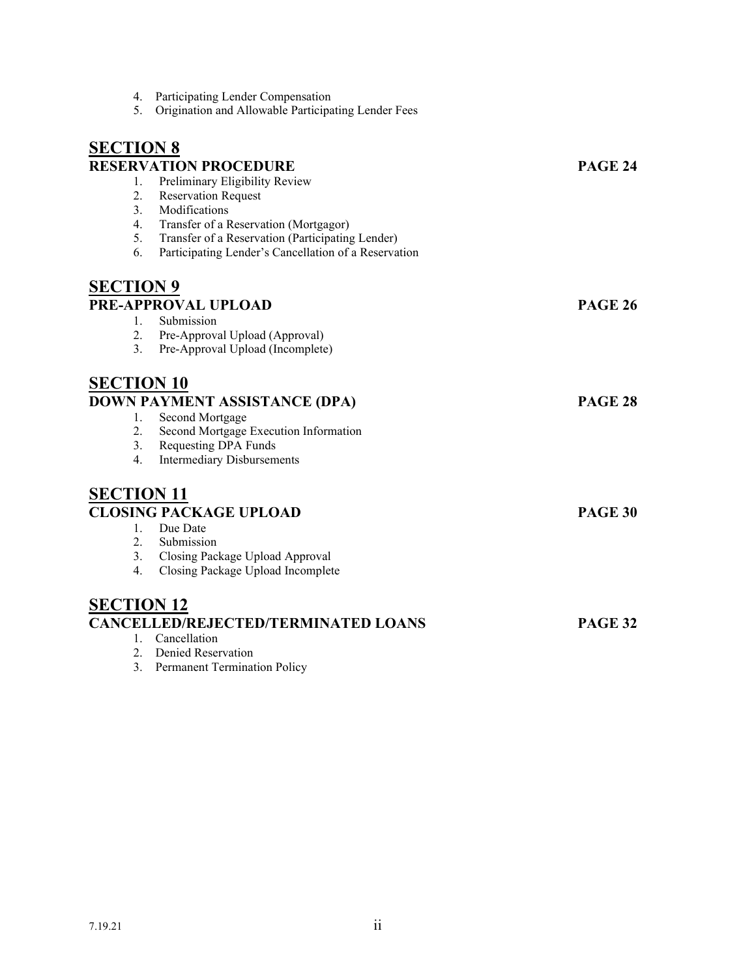| 4.<br>5.          | Participating Lender Compensation<br>Origination and Allowable Participating Lender Fees |                |
|-------------------|------------------------------------------------------------------------------------------|----------------|
| <b>SECTION 8</b>  |                                                                                          |                |
|                   | <b>RESERVATION PROCEDURE</b>                                                             | <b>PAGE 24</b> |
| 1.                | Preliminary Eligibility Review                                                           |                |
| 2.                | <b>Reservation Request</b>                                                               |                |
| 3.                | Modifications                                                                            |                |
| 4.                | Transfer of a Reservation (Mortgagor)                                                    |                |
| 5.                | Transfer of a Reservation (Participating Lender)                                         |                |
| 6.                | Participating Lender's Cancellation of a Reservation                                     |                |
| <b>SECTION 9</b>  |                                                                                          |                |
|                   | PRE-APPROVAL UPLOAD                                                                      | <b>PAGE 26</b> |
| 1.                | Submission                                                                               |                |
| 2.                | Pre-Approval Upload (Approval)                                                           |                |
| 3.                | Pre-Approval Upload (Incomplete)                                                         |                |
| <b>SECTION 10</b> |                                                                                          |                |
|                   | DOWN PAYMENT ASSISTANCE (DPA)                                                            | <b>PAGE 28</b> |
|                   |                                                                                          |                |
| 1.<br>2.          | Second Mortgage<br>Second Mortgage Execution Information                                 |                |
|                   | 3. Requesting DPA Funds                                                                  |                |
| 4.                | <b>Intermediary Disbursements</b>                                                        |                |
|                   |                                                                                          |                |
| <b>SECTION 11</b> |                                                                                          |                |
|                   | <b>CLOSING PACKAGE UPLOAD</b>                                                            | <b>PAGE 30</b> |
| $1_{\cdot}$       | Due Date                                                                                 |                |
| 2.                | Submission                                                                               |                |
|                   | 3. Closing Package Upload Approval                                                       |                |
| 4.                | Closing Package Upload Incomplete                                                        |                |
| <b>SECTION 12</b> |                                                                                          |                |
|                   | <b>CANCELLED/REJECTED/TERMINATED LOANS</b>                                               | <b>PAGE 32</b> |
| $1_{\cdot}$       | Cancellation                                                                             |                |
| 2.                | Denied Reservation                                                                       |                |
| 3.                | <b>Permanent Termination Policy</b>                                                      |                |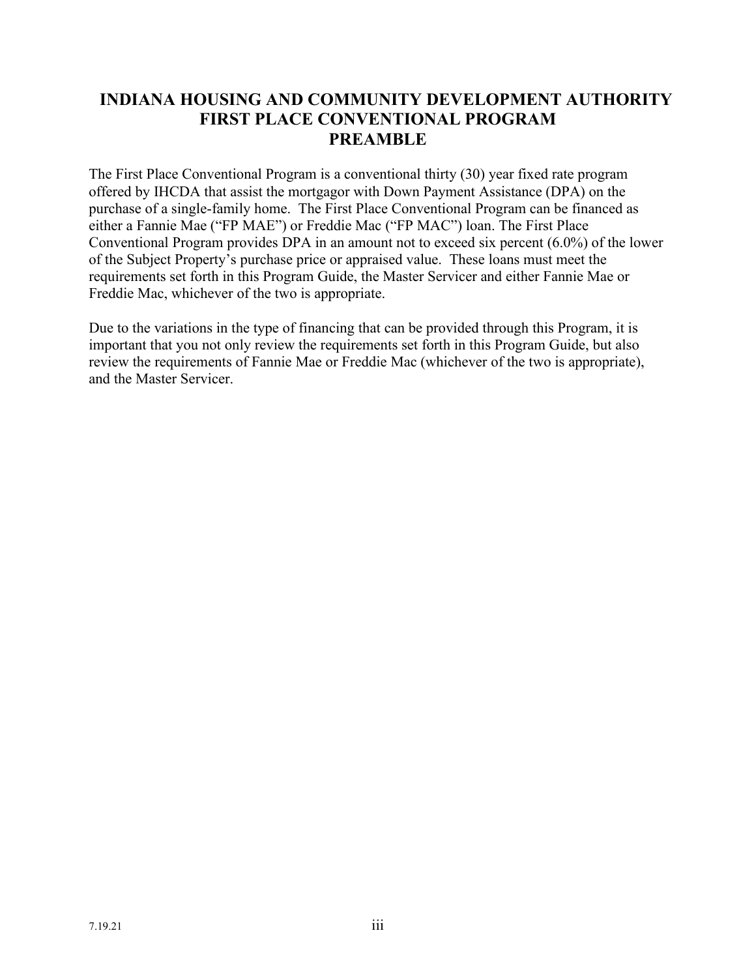### **INDIANA HOUSING AND COMMUNITY DEVELOPMENT AUTHORITY FIRST PLACE CONVENTIONAL PROGRAM PREAMBLE**

The First Place Conventional Program is a conventional thirty (30) year fixed rate program offered by IHCDA that assist the mortgagor with Down Payment Assistance (DPA) on the purchase of a single-family home. The First Place Conventional Program can be financed as either a Fannie Mae ("FP MAE") or Freddie Mac ("FP MAC") loan. The First Place Conventional Program provides DPA in an amount not to exceed six percent (6.0%) of the lower of the Subject Property's purchase price or appraised value. These loans must meet the requirements set forth in this Program Guide, the Master Servicer and either Fannie Mae or Freddie Mac, whichever of the two is appropriate.

Due to the variations in the type of financing that can be provided through this Program, it is important that you not only review the requirements set forth in this Program Guide, but also review the requirements of Fannie Mae or Freddie Mac (whichever of the two is appropriate), and the Master Servicer.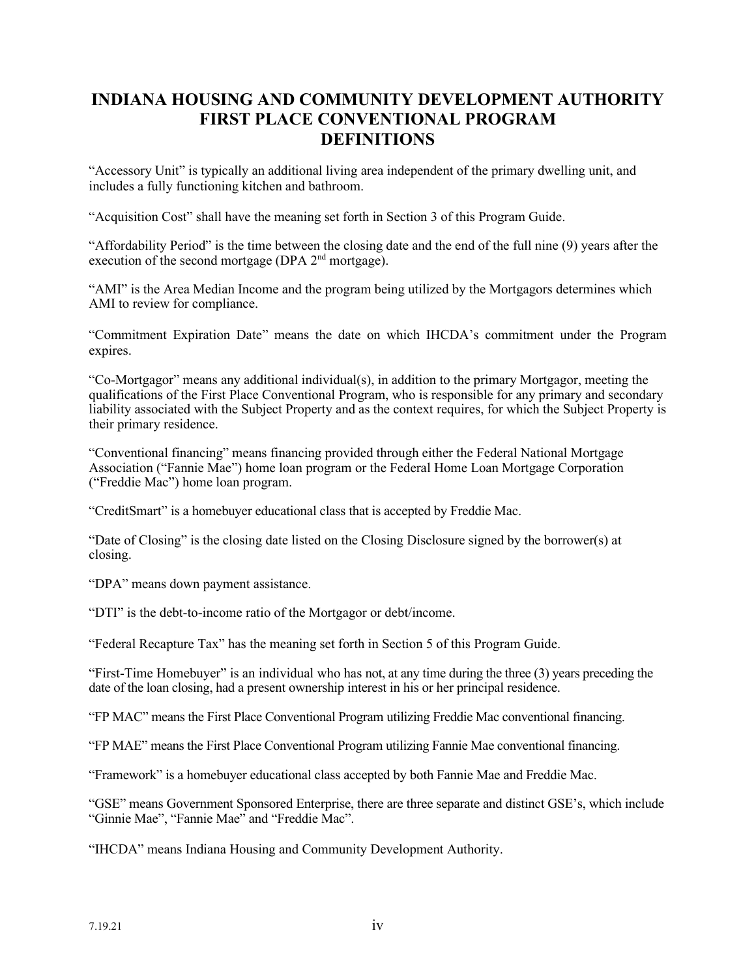### **INDIANA HOUSING AND COMMUNITY DEVELOPMENT AUTHORITY FIRST PLACE CONVENTIONAL PROGRAM DEFINITIONS**

"Accessory Unit" is typically an additional living area independent of the primary dwelling unit, and includes a fully functioning kitchen and bathroom.

"Acquisition Cost" shall have the meaning set forth in Section 3 of this Program Guide.

"Affordability Period" is the time between the closing date and the end of the full nine (9) years after the execution of the second mortgage (DPA  $2<sup>nd</sup>$  mortgage).

"AMI" is the Area Median Income and the program being utilized by the Mortgagors determines which AMI to review for compliance.

"Commitment Expiration Date" means the date on which IHCDA's commitment under the Program expires.

"Co-Mortgagor" means any additional individual(s), in addition to the primary Mortgagor, meeting the qualifications of the First Place Conventional Program, who is responsible for any primary and secondary liability associated with the Subject Property and as the context requires, for which the Subject Property is their primary residence.

"Conventional financing" means financing provided through either the Federal National Mortgage Association ("Fannie Mae") home loan program or the Federal Home Loan Mortgage Corporation ("Freddie Mac") home loan program.

"CreditSmart" is a homebuyer educational class that is accepted by Freddie Mac.

"Date of Closing" is the closing date listed on the Closing Disclosure signed by the borrower(s) at closing.

"DPA" means down payment assistance.

"DTI" is the debt-to-income ratio of the Mortgagor or debt/income.

"Federal Recapture Tax" has the meaning set forth in Section 5 of this Program Guide.

"First-Time Homebuyer" is an individual who has not, at any time during the three (3) years preceding the date of the loan closing, had a present ownership interest in his or her principal residence.

"FP MAC" means the First Place Conventional Program utilizing Freddie Mac conventional financing.

"FP MAE" means the First Place Conventional Program utilizing Fannie Mae conventional financing.

"Framework" is a homebuyer educational class accepted by both Fannie Mae and Freddie Mac.

"GSE" means Government Sponsored Enterprise, there are three separate and distinct GSE's, which include "Ginnie Mae", "Fannie Mae" and "Freddie Mac".

"IHCDA" means Indiana Housing and Community Development Authority.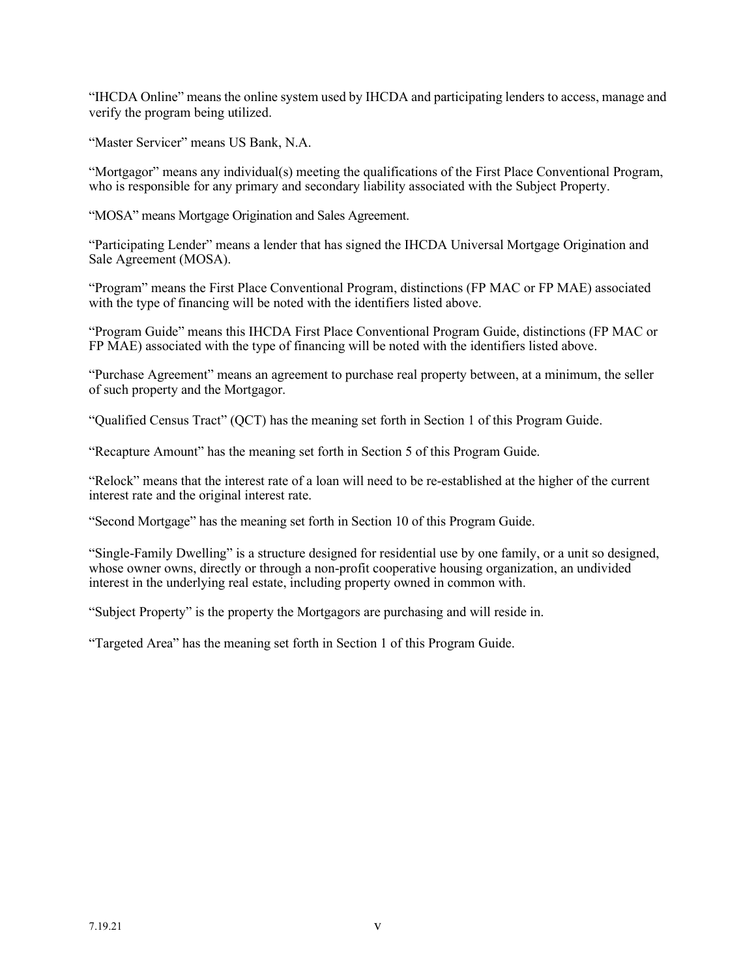"IHCDA Online" means the online system used by IHCDA and participating lenders to access, manage and verify the program being utilized.

"Master Servicer" means US Bank, N.A.

"Mortgagor" means any individual(s) meeting the qualifications of the First Place Conventional Program, who is responsible for any primary and secondary liability associated with the Subject Property.

"MOSA" means Mortgage Origination and Sales Agreement.

"Participating Lender" means a lender that has signed the IHCDA Universal Mortgage Origination and Sale Agreement (MOSA).

"Program" means the First Place Conventional Program, distinctions (FP MAC or FP MAE) associated with the type of financing will be noted with the identifiers listed above.

"Program Guide" means this IHCDA First Place Conventional Program Guide, distinctions (FP MAC or FP MAE) associated with the type of financing will be noted with the identifiers listed above.

"Purchase Agreement" means an agreement to purchase real property between, at a minimum, the seller of such property and the Mortgagor.

"Qualified Census Tract" (QCT) has the meaning set forth in Section 1 of this Program Guide.

"Recapture Amount" has the meaning set forth in Section 5 of this Program Guide.

"Relock" means that the interest rate of a loan will need to be re-established at the higher of the current interest rate and the original interest rate.

"Second Mortgage" has the meaning set forth in Section 10 of this Program Guide.

"Single-Family Dwelling" is a structure designed for residential use by one family, or a unit so designed, whose owner owns, directly or through a non-profit cooperative housing organization, an undivided interest in the underlying real estate, including property owned in common with.

"Subject Property" is the property the Mortgagors are purchasing and will reside in.

"Targeted Area" has the meaning set forth in Section 1 of this Program Guide.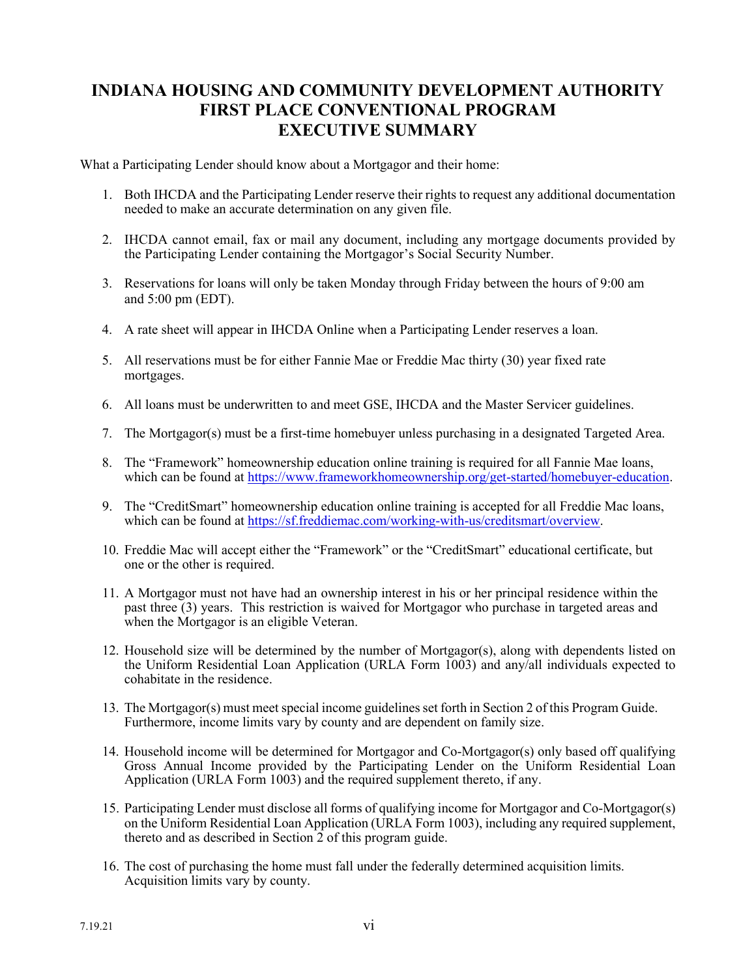### **INDIANA HOUSING AND COMMUNITY DEVELOPMENT AUTHORITY FIRST PLACE CONVENTIONAL PROGRAM EXECUTIVE SUMMARY**

What a Participating Lender should know about a Mortgagor and their home:

- 1. Both IHCDA and the Participating Lender reserve their rights to request any additional documentation needed to make an accurate determination on any given file.
- 2. IHCDA cannot email, fax or mail any document, including any mortgage documents provided by the Participating Lender containing the Mortgagor's Social Security Number.
- 3. Reservations for loans will only be taken Monday through Friday between the hours of 9:00 am and 5:00 pm (EDT).
- 4. A rate sheet will appear in IHCDA Online when a Participating Lender reserves a loan.
- 5. All reservations must be for either Fannie Mae or Freddie Mac thirty (30) year fixed rate mortgages.
- 6. All loans must be underwritten to and meet GSE, IHCDA and the Master Servicer guidelines.
- 7. The Mortgagor(s) must be a first-time homebuyer unless purchasing in a designated Targeted Area.
- 8. The "Framework" homeownership education online training is required for all Fannie Mae loans, which can be found at [https://www.frameworkhomeownership.org/get-started/homebuyer-education.](https://www.frameworkhomeownership.org/get-started/homebuyer-education)
- 9. The "CreditSmart" homeownership education online training is accepted for all Freddie Mac loans, which can be found at [https://sf.freddiemac.com/working-with-us/creditsmart/overview.](https://sf.freddiemac.com/working-with-us/creditsmart/overview)
- 10. Freddie Mac will accept either the "Framework" or the "CreditSmart" educational certificate, but one or the other is required.
- 11. A Mortgagor must not have had an ownership interest in his or her principal residence within the past three (3) years. This restriction is waived for Mortgagor who purchase in targeted areas and when the Mortgagor is an eligible Veteran.
- 12. Household size will be determined by the number of Mortgagor(s), along with dependents listed on the Uniform Residential Loan Application (URLA Form 1003) and any/all individuals expected to cohabitate in the residence.
- 13. The Mortgagor(s) must meet special income guidelinesset forth in Section 2 of this Program Guide. Furthermore, income limits vary by county and are dependent on family size.
- 14. Household income will be determined for Mortgagor and Co-Mortgagor(s) only based off qualifying Gross Annual Income provided by the Participating Lender on the Uniform Residential Loan Application (URLA Form 1003) and the required supplement thereto, if any.
- 15. Participating Lender must disclose all forms of qualifying income for Mortgagor and Co-Mortgagor(s) on the Uniform Residential Loan Application (URLA Form 1003), including any required supplement, thereto and as described in Section  $\hat{2}$  of this program guide.
- 16. The cost of purchasing the home must fall under the federally determined acquisition limits. Acquisition limits vary by county.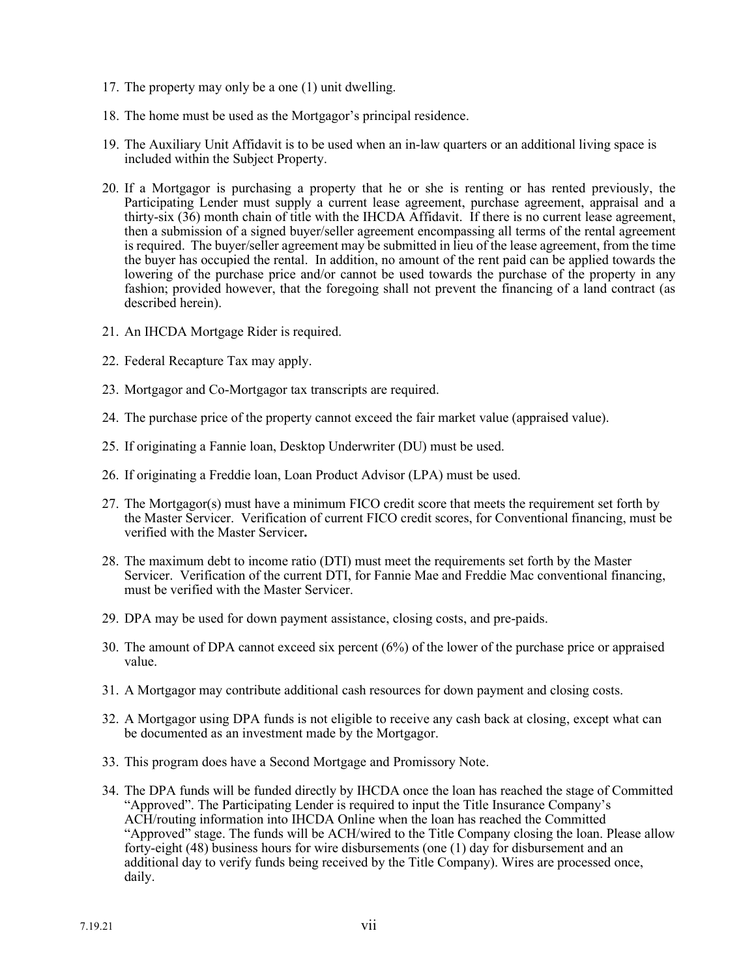- 17. The property may only be a one (1) unit dwelling.
- 18. The home must be used as the Mortgagor's principal residence.
- 19. The Auxiliary Unit Affidavit is to be used when an in-law quarters or an additional living space is included within the Subject Property.
- 20. If a Mortgagor is purchasing a property that he or she is renting or has rented previously, the Participating Lender must supply a current lease agreement, purchase agreement, appraisal and a thirty-six (36) month chain of title with the IHCDA Affidavit. If there is no current lease agreement, then a submission of a signed buyer/seller agreement encompassing all terms of the rental agreement is required. The buyer/seller agreement may be submitted in lieu of the lease agreement, from the time the buyer has occupied the rental. In addition, no amount of the rent paid can be applied towards the lowering of the purchase price and/or cannot be used towards the purchase of the property in any fashion; provided however, that the foregoing shall not prevent the financing of a land contract (as described herein).
- 21. An IHCDA Mortgage Rider is required.
- 22. Federal Recapture Tax may apply.
- 23. Mortgagor and Co-Mortgagor tax transcripts are required.
- 24. The purchase price of the property cannot exceed the fair market value (appraised value).
- 25. If originating a Fannie loan, Desktop Underwriter (DU) must be used.
- 26. If originating a Freddie loan, Loan Product Advisor (LPA) must be used.
- 27. The Mortgagor(s) must have a minimum FICO credit score that meets the requirement set forth by the Master Servicer. Verification of current FICO credit scores, for Conventional financing, must be verified with the Master Servicer**.**
- 28. The maximum debt to income ratio (DTI) must meet the requirements set forth by the Master Servicer. Verification of the current DTI, for Fannie Mae and Freddie Mac conventional financing, must be verified with the Master Servicer.
- 29. DPA may be used for down payment assistance, closing costs, and pre-paids.
- 30. The amount of DPA cannot exceed six percent (6%) of the lower of the purchase price or appraised value.
- 31. A Mortgagor may contribute additional cash resources for down payment and closing costs.
- 32. A Mortgagor using DPA funds is not eligible to receive any cash back at closing, except what can be documented as an investment made by the Mortgagor.
- 33. This program does have a Second Mortgage and Promissory Note.
- 34. The DPA funds will be funded directly by IHCDA once the loan has reached the stage of Committed "Approved". The Participating Lender is required to input the Title Insurance Company's ACH/routing information into IHCDA Online when the loan has reached the Committed "Approved" stage. The funds will be ACH/wired to the Title Company closing the loan. Please allow forty-eight (48) business hours for wire disbursements (one (1) day for disbursement and an additional day to verify funds being received by the Title Company). Wires are processed once, daily.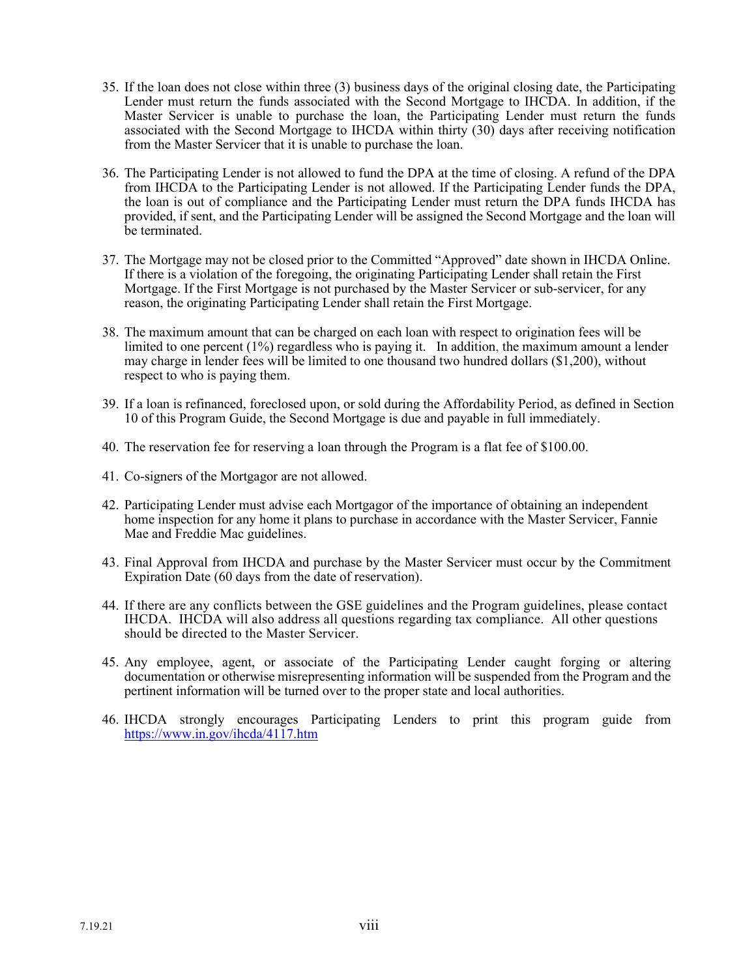- 35. If the loan does not close within three (3) business days of the original closing date, the Participating Lender must return the funds associated with the Second Mortgage to IHCDA. In addition, if the Master Servicer is unable to purchase the loan, the Participating Lender must return the funds associated with the Second Mortgage to IHCDA within thirty (30) days after receiving notification from the Master Servicer that it is unable to purchase the loan.
- 36. The Participating Lender is not allowed to fund the DPA at the time of closing. A refund of the DPA from IHCDA to the Participating Lender is not allowed. If the Participating Lender funds the DPA, the loan is out of compliance and the Participating Lender must return the DPA funds IHCDA has provided, if sent, and the Participating Lender will be assigned the Second Mortgage and the loan will be terminated.
- 37. The Mortgage may not be closed prior to the Committed "Approved" date shown in IHCDA Online. If there is a violation of the foregoing, the originating Participating Lender shall retain the First Mortgage. If the First Mortgage is not purchased by the Master Servicer or sub-servicer, for any reason, the originating Participating Lender shall retain the First Mortgage.
- 38. The maximum amount that can be charged on each loan with respect to origination fees will be limited to one percent (1%) regardless who is paying it. In addition, the maximum amount a lender may charge in lender fees will be limited to one thousand two hundred dollars (\$1,200), without respect to who is paying them.
- 39. If a loan is refinanced, foreclosed upon, or sold during the Affordability Period, as defined in Section 10 of this Program Guide, the Second Mortgage is due and payable in full immediately.
- 40. The reservation fee for reserving a loan through the Program is a flat fee of \$100.00.
- 41. Co-signers of the Mortgagor are not allowed.
- 42. Participating Lender must advise each Mortgagor of the importance of obtaining an independent home inspection for any home it plans to purchase in accordance with the Master Servicer, Fannie Mae and Freddie Mac guidelines.
- 43. Final Approval from IHCDA and purchase by the Master Servicer must occur by the Commitment Expiration Date (60 days from the date of reservation).
- 44. If there are any conflicts between the GSE guidelines and the Program guidelines, please contact IHCDA. IHCDA will also address all questions regarding tax compliance. All other questions should be directed to the Master Servicer.
- 45. Any employee, agent, or associate of the Participating Lender caught forging or altering documentation or otherwise misrepresenting information will be suspended from the Program and the pertinent information will be turned over to the proper state and local authorities.
- 46. IHCDA strongly encourages Participating Lenders to print this program guide from <https://www.in.gov/ihcda/4117.htm>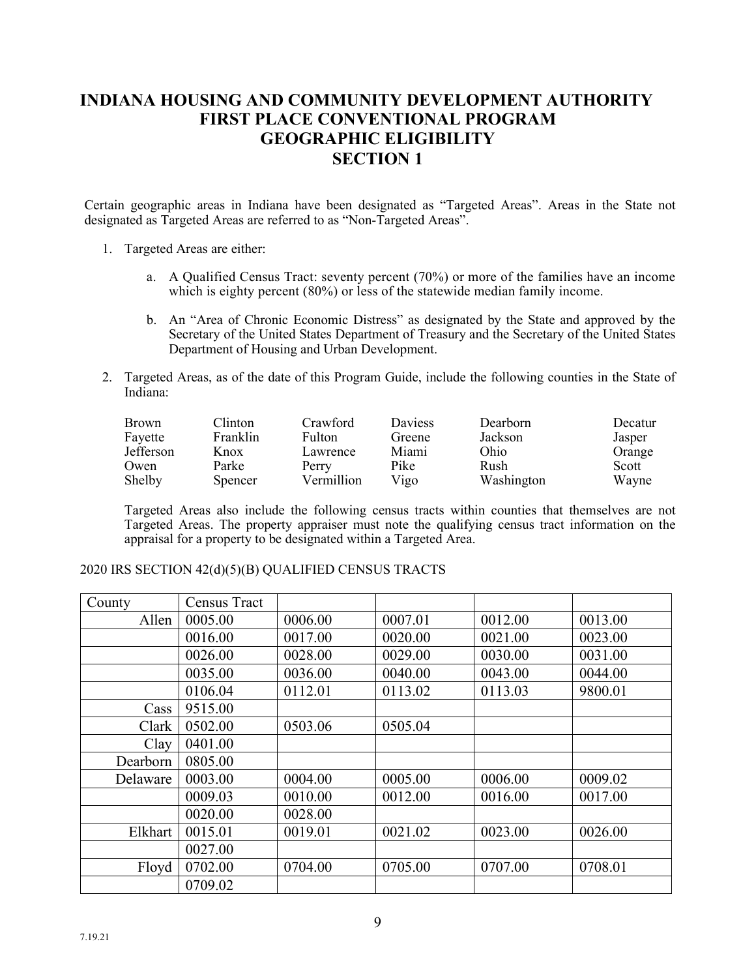### **INDIANA HOUSING AND COMMUNITY DEVELOPMENT AUTHORITY FIRST PLACE CONVENTIONAL PROGRAM GEOGRAPHIC ELIGIBILITY SECTION 1**

Certain geographic areas in Indiana have been designated as "Targeted Areas". Areas in the State not designated as Targeted Areas are referred to as "Non-Targeted Areas".

- 1. Targeted Areas are either:
	- a. A Qualified Census Tract: seventy percent (70%) or more of the families have an income which is eighty percent (80%) or less of the statewide median family income.
	- b. An "Area of Chronic Economic Distress" as designated by the State and approved by the Secretary of the United States Department of Treasury and the Secretary of the United States Department of Housing and Urban Development.
- 2. Targeted Areas, as of the date of this Program Guide, include the following counties in the State of Indiana:

| Brown     | Clinton  | Crawford      | <b>Daviess</b> | Dearborn   | Decatur |
|-----------|----------|---------------|----------------|------------|---------|
| Fayette   | Franklin | <b>Fulton</b> | Greene         | Jackson    | Jasper  |
| Jefferson | Knox     | Lawrence      | Miami          | Ohio       | Orange  |
| Owen      | Parke    | Perry         | Pike           | Rush       | Scott   |
| Shelby    | Spencer  | Vermillion    | Vigo           | Washington | Wayne   |

Targeted Areas also include the following census tracts within counties that themselves are not Targeted Areas. The property appraiser must note the qualifying census tract information on the appraisal for a property to be designated within a Targeted Area.

2020 IRS SECTION 42(d)(5)(B) QUALIFIED CENSUS TRACTS

| County   | <b>Census Tract</b> |         |         |         |         |
|----------|---------------------|---------|---------|---------|---------|
| Allen    | 0005.00             | 0006.00 | 0007.01 | 0012.00 | 0013.00 |
|          | 0016.00             | 0017.00 | 0020.00 | 0021.00 | 0023.00 |
|          | 0026.00             | 0028.00 | 0029.00 | 0030.00 | 0031.00 |
|          | 0035.00             | 0036.00 | 0040.00 | 0043.00 | 0044.00 |
|          | 0106.04             | 0112.01 | 0113.02 | 0113.03 | 9800.01 |
| Cass     | 9515.00             |         |         |         |         |
| Clark    | 0502.00             | 0503.06 | 0505.04 |         |         |
| Clay     | 0401.00             |         |         |         |         |
| Dearborn | 0805.00             |         |         |         |         |
| Delaware | 0003.00             | 0004.00 | 0005.00 | 0006.00 | 0009.02 |
|          | 0009.03             | 0010.00 | 0012.00 | 0016.00 | 0017.00 |
|          | 0020.00             | 0028.00 |         |         |         |
| Elkhart  | 0015.01             | 0019.01 | 0021.02 | 0023.00 | 0026.00 |
|          | 0027.00             |         |         |         |         |
| Floyd    | 0702.00             | 0704.00 | 0705.00 | 0707.00 | 0708.01 |
|          | 0709.02             |         |         |         |         |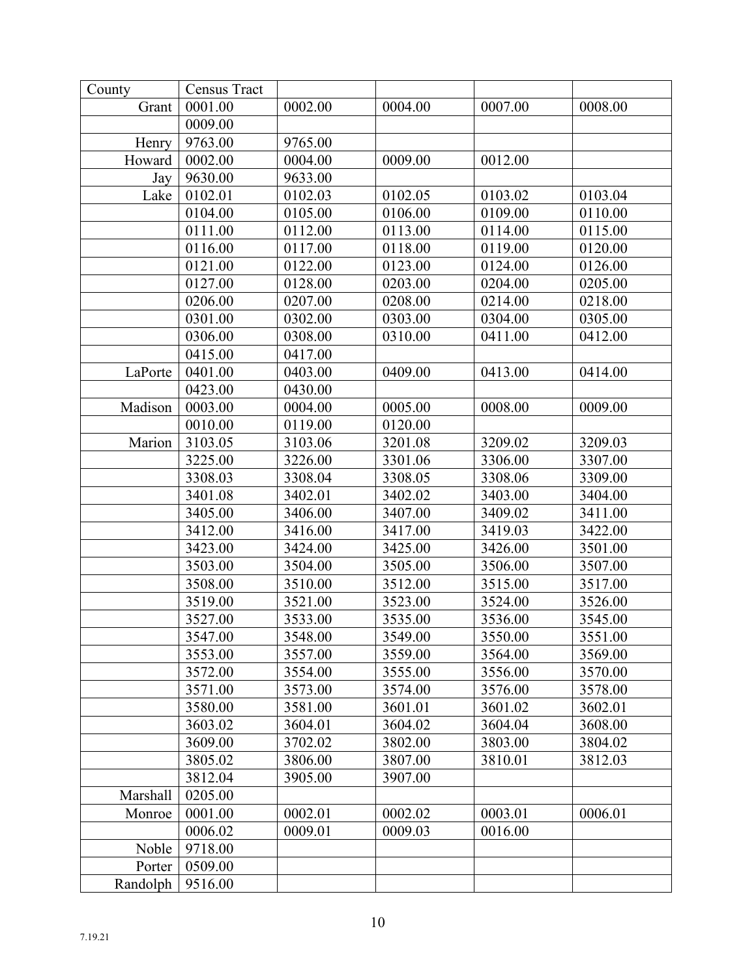| County   | Census Tract |         |         |         |         |
|----------|--------------|---------|---------|---------|---------|
| Grant    | 0001.00      | 0002.00 | 0004.00 | 0007.00 | 0008.00 |
|          | 0009.00      |         |         |         |         |
| Henry    | 9763.00      | 9765.00 |         |         |         |
| Howard   | 0002.00      | 0004.00 | 0009.00 | 0012.00 |         |
| Jay      | 9630.00      | 9633.00 |         |         |         |
| Lake     | 0102.01      | 0102.03 | 0102.05 | 0103.02 | 0103.04 |
|          | 0104.00      | 0105.00 | 0106.00 | 0109.00 | 0110.00 |
|          | 0111.00      | 0112.00 | 0113.00 | 0114.00 | 0115.00 |
|          | 0116.00      | 0117.00 | 0118.00 | 0119.00 | 0120.00 |
|          | 0121.00      | 0122.00 | 0123.00 | 0124.00 | 0126.00 |
|          | 0127.00      | 0128.00 | 0203.00 | 0204.00 | 0205.00 |
|          | 0206.00      | 0207.00 | 0208.00 | 0214.00 | 0218.00 |
|          | 0301.00      | 0302.00 | 0303.00 | 0304.00 | 0305.00 |
|          | 0306.00      | 0308.00 | 0310.00 | 0411.00 | 0412.00 |
|          | 0415.00      | 0417.00 |         |         |         |
| LaPorte  | 0401.00      | 0403.00 | 0409.00 | 0413.00 | 0414.00 |
|          | 0423.00      | 0430.00 |         |         |         |
| Madison  | 0003.00      | 0004.00 | 0005.00 | 0008.00 | 0009.00 |
|          | 0010.00      | 0119.00 | 0120.00 |         |         |
| Marion   | 3103.05      | 3103.06 | 3201.08 | 3209.02 | 3209.03 |
|          | 3225.00      | 3226.00 | 3301.06 | 3306.00 | 3307.00 |
|          | 3308.03      | 3308.04 | 3308.05 | 3308.06 | 3309.00 |
|          | 3401.08      | 3402.01 | 3402.02 | 3403.00 | 3404.00 |
|          | 3405.00      | 3406.00 | 3407.00 | 3409.02 | 3411.00 |
|          | 3412.00      | 3416.00 | 3417.00 | 3419.03 | 3422.00 |
|          | 3423.00      | 3424.00 | 3425.00 | 3426.00 | 3501.00 |
|          | 3503.00      | 3504.00 | 3505.00 | 3506.00 | 3507.00 |
|          | 3508.00      | 3510.00 | 3512.00 | 3515.00 | 3517.00 |
|          | 3519.00      | 3521.00 | 3523.00 | 3524.00 | 3526.00 |
|          | 3527.00      | 3533.00 | 3535.00 | 3536.00 | 3545.00 |
|          | 3547.00      | 3548.00 | 3549.00 | 3550.00 | 3551.00 |
|          | 3553.00      | 3557.00 | 3559.00 | 3564.00 | 3569.00 |
|          | 3572.00      | 3554.00 | 3555.00 | 3556.00 | 3570.00 |
|          | 3571.00      | 3573.00 | 3574.00 | 3576.00 | 3578.00 |
|          | 3580.00      | 3581.00 | 3601.01 | 3601.02 | 3602.01 |
|          | 3603.02      | 3604.01 | 3604.02 | 3604.04 | 3608.00 |
|          | 3609.00      | 3702.02 | 3802.00 | 3803.00 | 3804.02 |
|          | 3805.02      | 3806.00 | 3807.00 | 3810.01 | 3812.03 |
|          | 3812.04      | 3905.00 | 3907.00 |         |         |
| Marshall | 0205.00      |         |         |         |         |
| Monroe   | 0001.00      | 0002.01 | 0002.02 | 0003.01 | 0006.01 |
|          | 0006.02      | 0009.01 | 0009.03 | 0016.00 |         |
| Noble    | 9718.00      |         |         |         |         |
| Porter   | 0509.00      |         |         |         |         |
| Randolph | 9516.00      |         |         |         |         |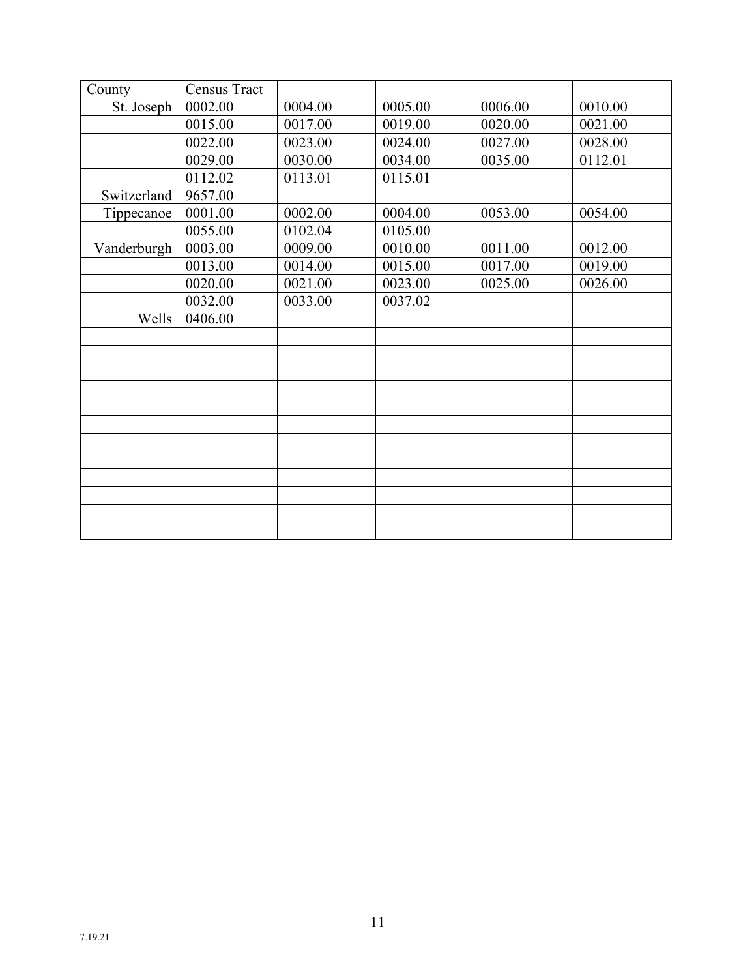| County      | <b>Census Tract</b> |         |         |         |         |
|-------------|---------------------|---------|---------|---------|---------|
| St. Joseph  | 0002.00             | 0004.00 | 0005.00 | 0006.00 | 0010.00 |
|             | 0015.00             | 0017.00 | 0019.00 | 0020.00 | 0021.00 |
|             | 0022.00             | 0023.00 | 0024.00 | 0027.00 | 0028.00 |
|             | 0029.00             | 0030.00 | 0034.00 | 0035.00 | 0112.01 |
|             | 0112.02             | 0113.01 | 0115.01 |         |         |
| Switzerland | 9657.00             |         |         |         |         |
| Tippecanoe  | 0001.00             | 0002.00 | 0004.00 | 0053.00 | 0054.00 |
|             | 0055.00             | 0102.04 | 0105.00 |         |         |
| Vanderburgh | 0003.00             | 0009.00 | 0010.00 | 0011.00 | 0012.00 |
|             | 0013.00             | 0014.00 | 0015.00 | 0017.00 | 0019.00 |
|             | 0020.00             | 0021.00 | 0023.00 | 0025.00 | 0026.00 |
|             | 0032.00             | 0033.00 | 0037.02 |         |         |
| Wells       | 0406.00             |         |         |         |         |
|             |                     |         |         |         |         |
|             |                     |         |         |         |         |
|             |                     |         |         |         |         |
|             |                     |         |         |         |         |
|             |                     |         |         |         |         |
|             |                     |         |         |         |         |
|             |                     |         |         |         |         |
|             |                     |         |         |         |         |
|             |                     |         |         |         |         |
|             |                     |         |         |         |         |
|             |                     |         |         |         |         |
|             |                     |         |         |         |         |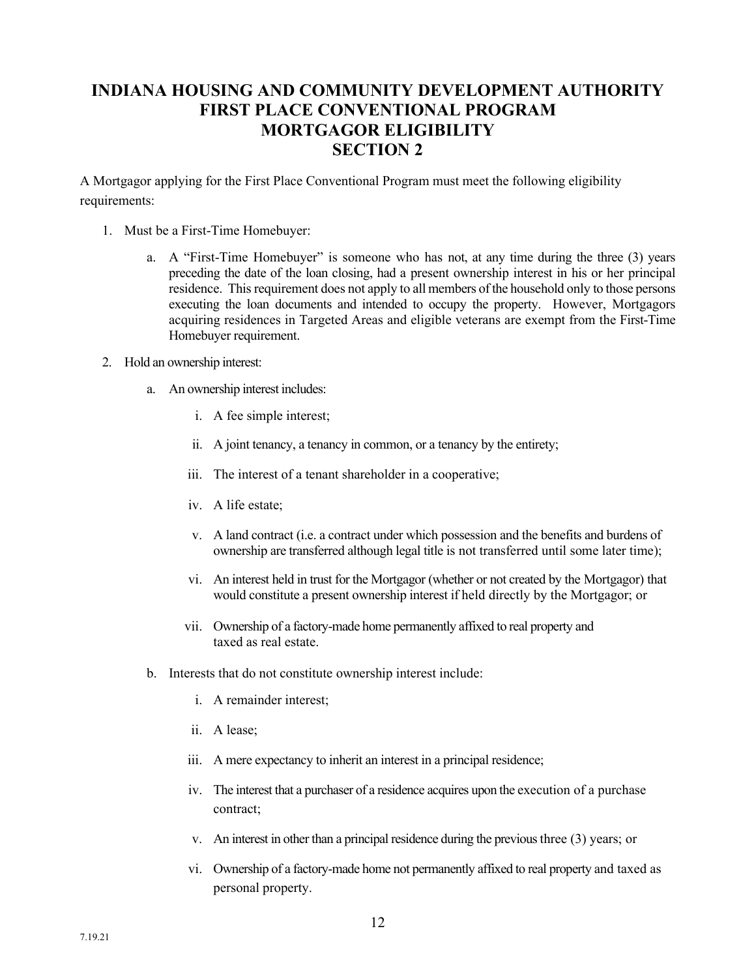### **INDIANA HOUSING AND COMMUNITY DEVELOPMENT AUTHORITY FIRST PLACE CONVENTIONAL PROGRAM MORTGAGOR ELIGIBILITY SECTION 2**

A Mortgagor applying for the First Place Conventional Program must meet the following eligibility requirements:

- 1. Must be a First-Time Homebuyer:
	- a. A "First-Time Homebuyer" is someone who has not, at any time during the three (3) years preceding the date of the loan closing, had a present ownership interest in his or her principal residence. This requirement does not apply to all members of the household only to those persons executing the loan documents and intended to occupy the property. However, Mortgagors acquiring residences in Targeted Areas and eligible veterans are exempt from the First-Time Homebuyer requirement.
- 2. Hold an ownership interest:
	- a. An ownership interest includes:
		- i. A fee simple interest;
		- ii. A joint tenancy, a tenancy in common, or a tenancy by the entirety;
		- iii. The interest of a tenant shareholder in a cooperative;
		- iv. A life estate;
		- v. A land contract (i.e. a contract under which possession and the benefits and burdens of ownership are transferred although legal title is not transferred until some later time);
		- vi. An interest held in trust for the Mortgagor (whether or not created by the Mortgagor) that would constitute a present ownership interest if held directly by the Mortgagor; or
		- vii. Ownership of a factory-made home permanently affixed to real property and taxed as real estate.
	- b. Interests that do not constitute ownership interest include:
		- i. A remainder interest;
		- ii. A lease;
		- iii. A mere expectancy to inherit an interest in a principal residence;
		- iv. The interest that a purchaser of a residence acquires upon the execution of a purchase contract;
		- v. An interest in other than a principal residence during the previous three (3) years; or
		- vi. Ownership of a factory-made home not permanently affixed to real property and taxed as personal property.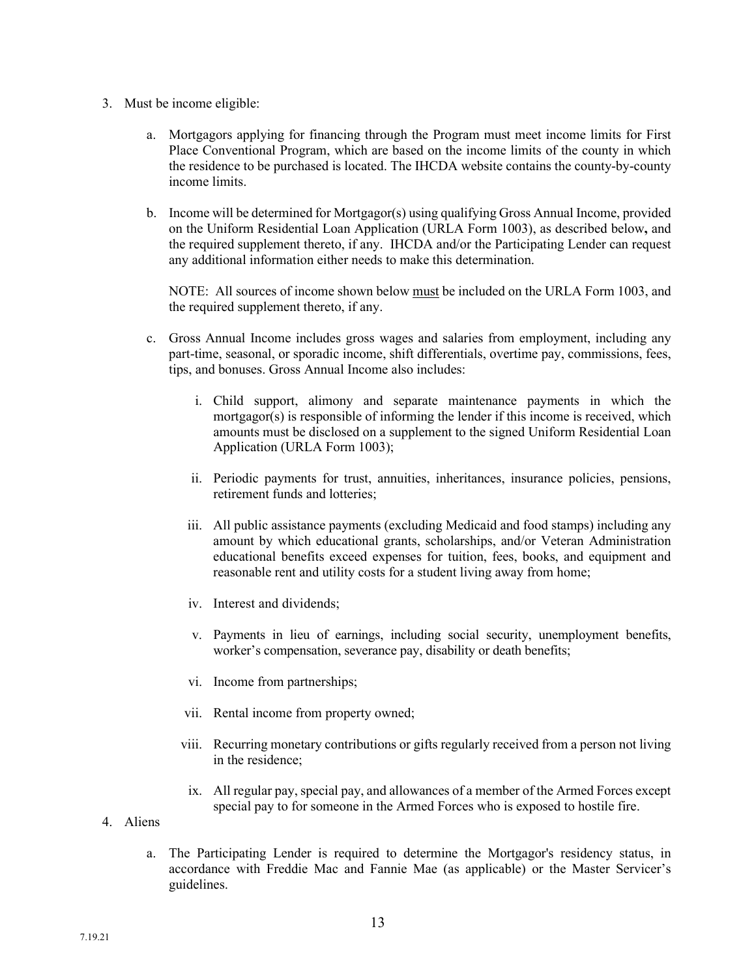- 3. Must be income eligible:
	- a. Mortgagors applying for financing through the Program must meet income limits for First Place Conventional Program, which are based on the income limits of the county in which the residence to be purchased is located. The IHCDA website contains the county-by-county income limits.
	- b. Income will be determined for Mortgagor(s) using qualifying Gross Annual Income, provided on the Uniform Residential Loan Application (URLA Form 1003), as described below**,** and the required supplement thereto, if any. IHCDA and/or the Participating Lender can request any additional information either needs to make this determination.

NOTE: All sources of income shown below must be included on the URLA Form 1003, and the required supplement thereto, if any.

- c. Gross Annual Income includes gross wages and salaries from employment, including any part-time, seasonal, or sporadic income, shift differentials, overtime pay, commissions, fees, tips, and bonuses. Gross Annual Income also includes:
	- i. Child support, alimony and separate maintenance payments in which the mortgagor(s) is responsible of informing the lender if this income is received, which amounts must be disclosed on a supplement to the signed Uniform Residential Loan Application (URLA Form 1003);
	- ii. Periodic payments for trust, annuities, inheritances, insurance policies, pensions, retirement funds and lotteries;
	- iii. All public assistance payments (excluding Medicaid and food stamps) including any amount by which educational grants, scholarships, and/or Veteran Administration educational benefits exceed expenses for tuition, fees, books, and equipment and reasonable rent and utility costs for a student living away from home;
	- iv. Interest and dividends;
	- v. Payments in lieu of earnings, including social security, unemployment benefits, worker's compensation, severance pay, disability or death benefits;
	- vi. Income from partnerships;
	- vii. Rental income from property owned;
	- viii. Recurring monetary contributions or gifts regularly received from a person not living in the residence;
	- ix. All regular pay, special pay, and allowances of a member of the Armed Forces except special pay to for someone in the Armed Forces who is exposed to hostile fire.
- 4. Aliens
	- a. The Participating Lender is required to determine the Mortgagor's residency status, in accordance with Freddie Mac and Fannie Mae (as applicable) or the Master Servicer's guidelines.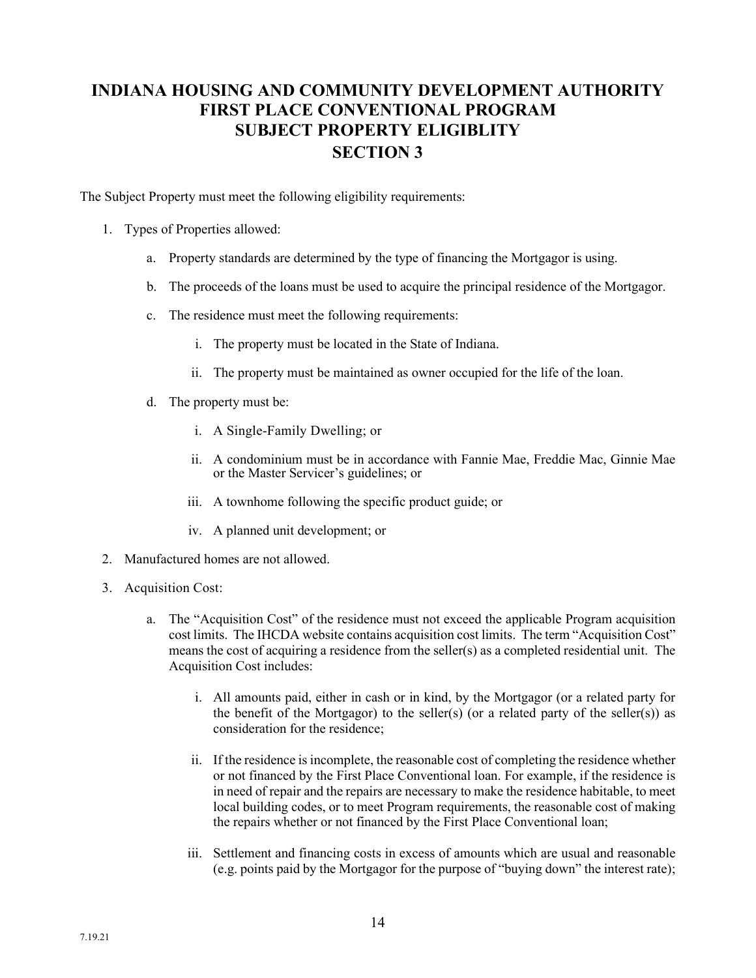## **INDIANA HOUSING AND COMMUNITY DEVELOPMENT AUTHORITY FIRST PLACE CONVENTIONAL PROGRAM SUBJECT PROPERTY ELIGIBLITY SECTION 3**

The Subject Property must meet the following eligibility requirements:

- 1. Types of Properties allowed:
	- a. Property standards are determined by the type of financing the Mortgagor is using.
	- b. The proceeds of the loans must be used to acquire the principal residence of the Mortgagor.
	- c. The residence must meet the following requirements:
		- i. The property must be located in the State of Indiana.
		- ii. The property must be maintained as owner occupied for the life of the loan.
	- d. The property must be:
		- i. A Single-Family Dwelling; or
		- ii. A condominium must be in accordance with Fannie Mae, Freddie Mac, Ginnie Mae or the Master Servicer's guidelines; or
		- iii. A townhome following the specific product guide; or
		- iv. A planned unit development; or
- 2. Manufactured homes are not allowed.
- 3. Acquisition Cost:
	- a. The "Acquisition Cost" of the residence must not exceed the applicable Program acquisition cost limits. The IHCDA website contains acquisition cost limits. The term "Acquisition Cost" means the cost of acquiring a residence from the seller(s) as a completed residential unit. The Acquisition Cost includes:
		- i. All amounts paid, either in cash or in kind, by the Mortgagor (or a related party for the benefit of the Mortgagor) to the seller(s) (or a related party of the seller(s)) as consideration for the residence;
		- ii. If the residence is incomplete, the reasonable cost of completing the residence whether or not financed by the First Place Conventional loan. For example, if the residence is in need of repair and the repairs are necessary to make the residence habitable, to meet local building codes, or to meet Program requirements, the reasonable cost of making the repairs whether or not financed by the First Place Conventional loan;
		- iii. Settlement and financing costs in excess of amounts which are usual and reasonable (e.g. points paid by the Mortgagor for the purpose of "buying down" the interest rate);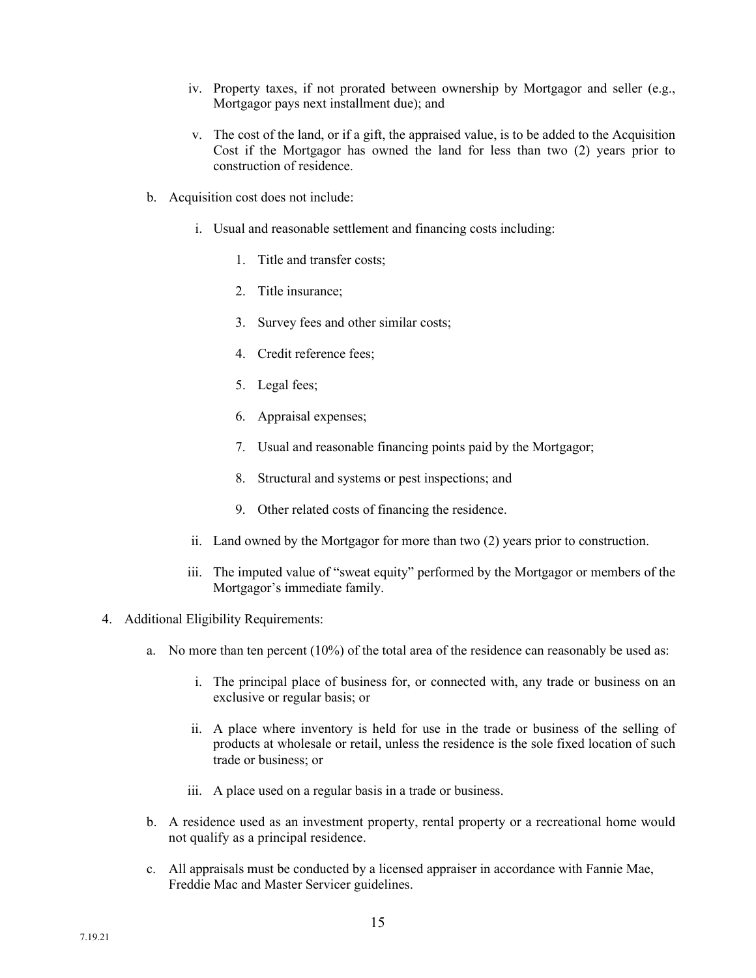- iv. Property taxes, if not prorated between ownership by Mortgagor and seller (e.g., Mortgagor pays next installment due); and
- v. The cost of the land, or if a gift, the appraised value, is to be added to the Acquisition Cost if the Mortgagor has owned the land for less than two (2) years prior to construction of residence.
- b. Acquisition cost does not include:
	- i. Usual and reasonable settlement and financing costs including:
		- 1. Title and transfer costs;
		- 2. Title insurance;
		- 3. Survey fees and other similar costs;
		- 4. Credit reference fees;
		- 5. Legal fees;
		- 6. Appraisal expenses;
		- 7. Usual and reasonable financing points paid by the Mortgagor;
		- 8. Structural and systems or pest inspections; and
		- 9. Other related costs of financing the residence.
	- ii. Land owned by the Mortgagor for more than two (2) years prior to construction.
	- iii. The imputed value of "sweat equity" performed by the Mortgagor or members of the Mortgagor's immediate family.
- 4. Additional Eligibility Requirements:
	- a. No more than ten percent (10%) of the total area of the residence can reasonably be used as:
		- i. The principal place of business for, or connected with, any trade or business on an exclusive or regular basis; or
		- ii. A place where inventory is held for use in the trade or business of the selling of products at wholesale or retail, unless the residence is the sole fixed location of such trade or business; or
		- iii. A place used on a regular basis in a trade or business.
	- b. A residence used as an investment property, rental property or a recreational home would not qualify as a principal residence.
	- c. All appraisals must be conducted by a licensed appraiser in accordance with Fannie Mae, Freddie Mac and Master Servicer guidelines.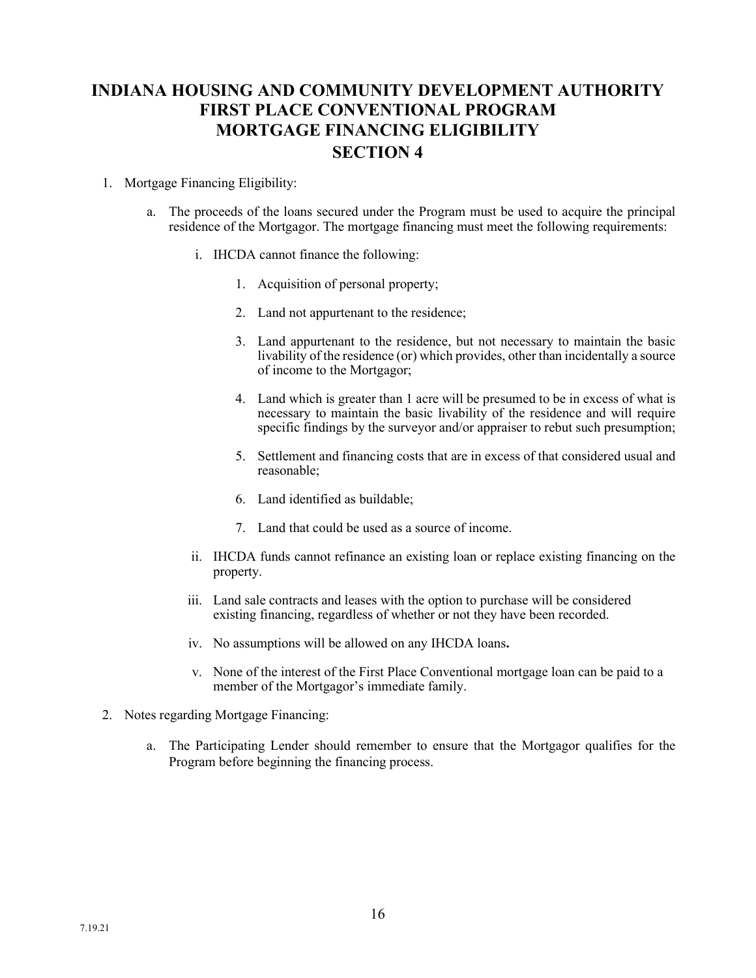## **INDIANA HOUSING AND COMMUNITY DEVELOPMENT AUTHORITY FIRST PLACE CONVENTIONAL PROGRAM MORTGAGE FINANCING ELIGIBILITY SECTION 4**

### 1. Mortgage Financing Eligibility:

- a. The proceeds of the loans secured under the Program must be used to acquire the principal residence of the Mortgagor. The mortgage financing must meet the following requirements:
	- i. IHCDA cannot finance the following:
		- 1. Acquisition of personal property;
		- 2. Land not appurtenant to the residence;
		- 3. Land appurtenant to the residence, but not necessary to maintain the basic livability of the residence (or) which provides, other than incidentally a source of income to the Mortgagor;
		- 4. Land which is greater than 1 acre will be presumed to be in excess of what is necessary to maintain the basic livability of the residence and will require specific findings by the surveyor and/or appraiser to rebut such presumption;
		- 5. Settlement and financing costs that are in excess of that considered usual and reasonable;
		- 6. Land identified as buildable;
		- 7. Land that could be used as a source of income.
	- ii. IHCDA funds cannot refinance an existing loan or replace existing financing on the property.
	- iii. Land sale contracts and leases with the option to purchase will be considered existing financing, regardless of whether or not they have been recorded.
	- iv. No assumptions will be allowed on any IHCDA loans**.**
	- v. None of the interest of the First Place Conventional mortgage loan can be paid to a member of the Mortgagor's immediate family.
- 2. Notes regarding Mortgage Financing:
	- a. The Participating Lender should remember to ensure that the Mortgagor qualifies for the Program before beginning the financing process.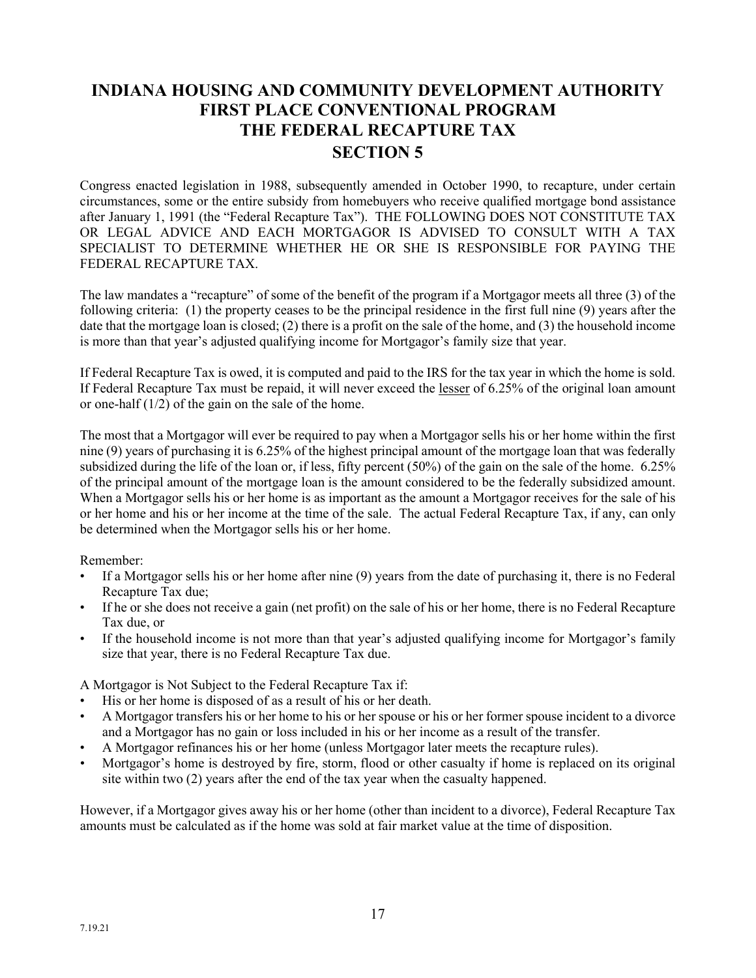## **INDIANA HOUSING AND COMMUNITY DEVELOPMENT AUTHORITY FIRST PLACE CONVENTIONAL PROGRAM THE FEDERAL RECAPTURE TAX SECTION 5**

Congress enacted legislation in 1988, subsequently amended in October 1990, to recapture, under certain circumstances, some or the entire subsidy from homebuyers who receive qualified mortgage bond assistance after January 1, 1991 (the "Federal Recapture Tax"). THE FOLLOWING DOES NOT CONSTITUTE TAX OR LEGAL ADVICE AND EACH MORTGAGOR IS ADVISED TO CONSULT WITH A TAX SPECIALIST TO DETERMINE WHETHER HE OR SHE IS RESPONSIBLE FOR PAYING THE FEDERAL RECAPTURE TAX.

The law mandates a "recapture" of some of the benefit of the program if a Mortgagor meets all three (3) of the following criteria: (1) the property ceases to be the principal residence in the first full nine (9) years after the date that the mortgage loan is closed; (2) there is a profit on the sale of the home, and (3) the household income is more than that year's adjusted qualifying income for Mortgagor's family size that year.

If Federal Recapture Tax is owed, it is computed and paid to the IRS for the tax year in which the home is sold. If Federal Recapture Tax must be repaid, it will never exceed the lesser of 6.25% of the original loan amount or one-half (1/2) of the gain on the sale of the home.

The most that a Mortgagor will ever be required to pay when a Mortgagor sells his or her home within the first nine (9) years of purchasing it is 6.25% of the highest principal amount of the mortgage loan that was federally subsidized during the life of the loan or, if less, fifty percent (50%) of the gain on the sale of the home. 6.25% of the principal amount of the mortgage loan is the amount considered to be the federally subsidized amount. When a Mortgagor sells his or her home is as important as the amount a Mortgagor receives for the sale of his or her home and his or her income at the time of the sale. The actual Federal Recapture Tax, if any, can only be determined when the Mortgagor sells his or her home.

Remember:

- If a Mortgagor sells his or her home after nine (9) years from the date of purchasing it, there is no Federal Recapture Tax due;
- If he or she does not receive a gain (net profit) on the sale of his or her home, there is no Federal Recapture Tax due, or
- If the household income is not more than that year's adjusted qualifying income for Mortgagor's family size that year, there is no Federal Recapture Tax due.

A Mortgagor is Not Subject to the Federal Recapture Tax if:

- His or her home is disposed of as a result of his or her death.
- A Mortgagor transfers his or her home to his or her spouse or his or her former spouse incident to a divorce and a Mortgagor has no gain or loss included in his or her income as a result of the transfer.
- A Mortgagor refinances his or her home (unless Mortgagor later meets the recapture rules).
- Mortgagor's home is destroyed by fire, storm, flood or other casualty if home is replaced on its original site within two (2) years after the end of the tax year when the casualty happened.

However, if a Mortgagor gives away his or her home (other than incident to a divorce), Federal Recapture Tax amounts must be calculated as if the home was sold at fair market value at the time of disposition.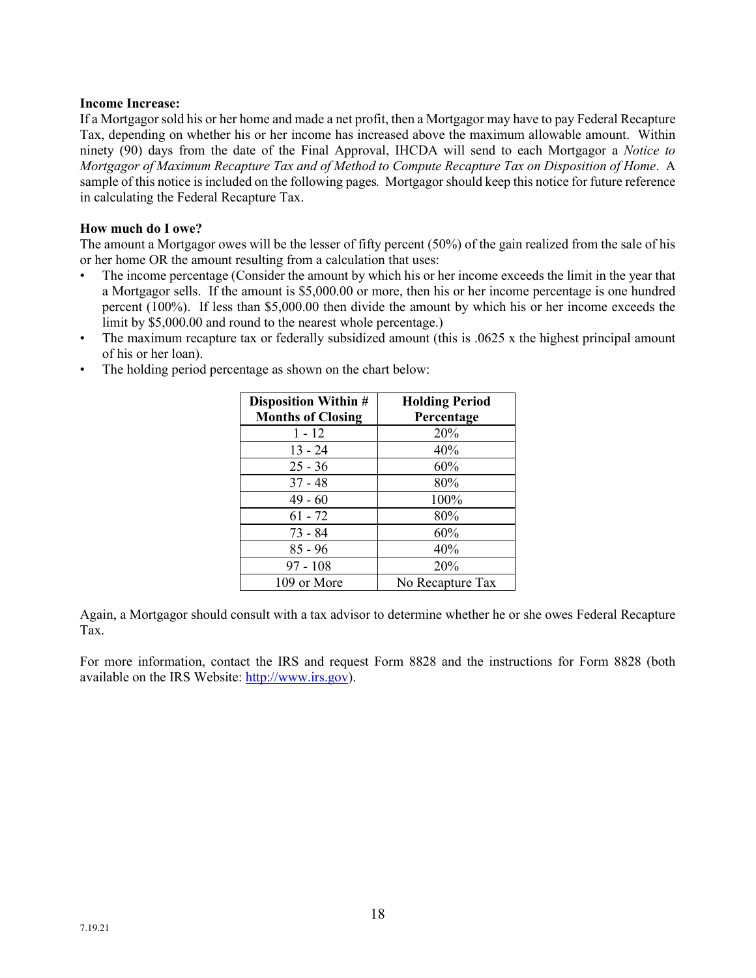### **Income Increase:**

If a Mortgagor sold his or her home and made a net profit, then a Mortgagor may have to pay Federal Recapture Tax, depending on whether his or her income has increased above the maximum allowable amount. Within ninety (90) days from the date of the Final Approval, IHCDA will send to each Mortgagor a *Notice to Mortgagor of Maximum Recapture Tax and of Method to Compute Recapture Tax on Disposition of Home*. A sample of this notice is included on the following pages*.* Mortgagor should keep this notice for future reference in calculating the Federal Recapture Tax.

#### **How much do I owe?**

The amount a Mortgagor owes will be the lesser of fifty percent (50%) of the gain realized from the sale of his or her home OR the amount resulting from a calculation that uses:

- The income percentage (Consider the amount by which his or her income exceeds the limit in the year that a Mortgagor sells. If the amount is \$5,000.00 or more, then his or her income percentage is one hundred percent (100%). If less than \$5,000.00 then divide the amount by which his or her income exceeds the limit by \$5,000.00 and round to the nearest whole percentage.)
- The maximum recapture tax or federally subsidized amount (this is .0625 x the highest principal amount of his or her loan).
- The holding period percentage as shown on the chart below:

| <b>Disposition Within #</b><br><b>Months of Closing</b> | <b>Holding Period</b><br>Percentage |
|---------------------------------------------------------|-------------------------------------|
| $1 - 12$                                                | 20%                                 |
| $13 - 24$                                               | 40%                                 |
| $25 - 36$                                               | 60%                                 |
| $37 - 48$                                               | 80%                                 |
| $49 - 60$                                               | 100%                                |
| $61 - 72$                                               | 80%                                 |
| 73 - 84                                                 | 60%                                 |
| $85 - 96$                                               | 40%                                 |
| $97 - 108$                                              | 20%                                 |
| 109 or More                                             | No Recapture Tax                    |

Again, a Mortgagor should consult with a tax advisor to determine whether he or she owes Federal Recapture Tax.

For more information, contact the IRS and request Form 8828 and the instructions for Form 8828 (both available on the IRS Website: [http://www.irs.gov\)](http://www.irs.gov/).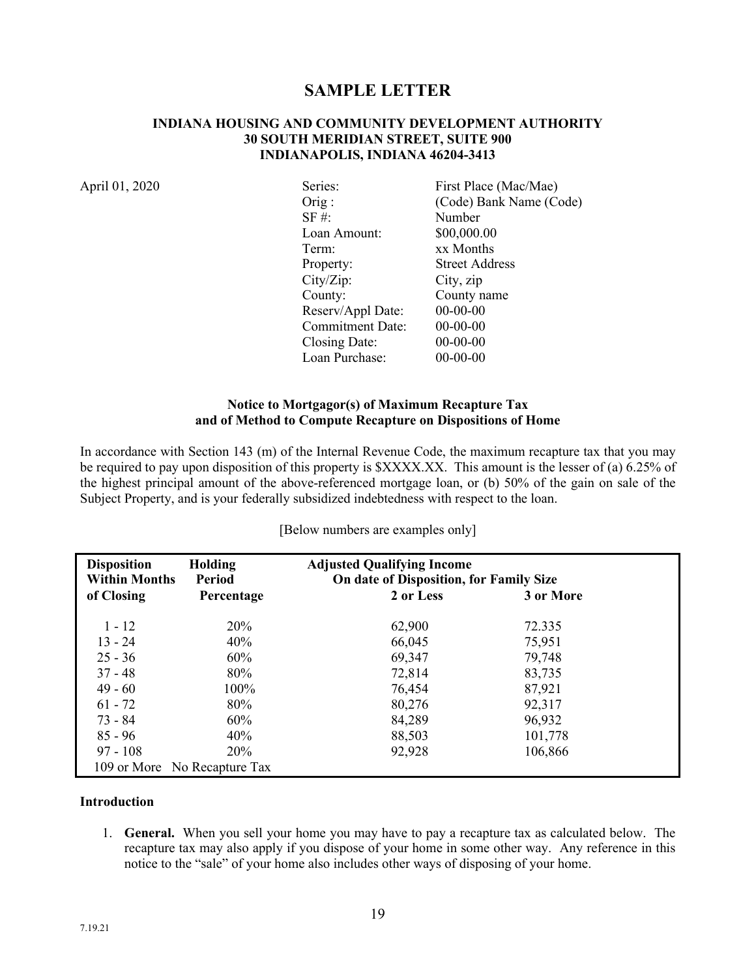### **SAMPLE LETTER**

#### **INDIANA HOUSING AND COMMUNITY DEVELOPMENT AUTHORITY 30 SOUTH MERIDIAN STREET, SUITE 900 INDIANAPOLIS, INDIANA 46204-3413**

April 01, 2020

| Series:                 | First Place (Mac/Mae)   |
|-------------------------|-------------------------|
| $Orig$ :                | (Code) Bank Name (Code) |
| $SF \#$ :               | Number                  |
| Loan Amount:            | \$00,000.00             |
| Term:                   | xx Months               |
| Property:               | <b>Street Address</b>   |
| City/Zip:               | City, zip               |
| County:                 | County name             |
| Reserv/Appl Date:       | $00 - 00 - 00$          |
| <b>Commitment Date:</b> | $00 - 00 - 00$          |
| Closing Date:           | $00 - 00 - 00$          |
| Loan Purchase:          | $00-00-00$              |

### **Notice to Mortgagor(s) of Maximum Recapture Tax and of Method to Compute Recapture on Dispositions of Home**

In accordance with Section 143 (m) of the Internal Revenue Code, the maximum recapture tax that you may be required to pay upon disposition of this property is \$XXXX.XX. This amount is the lesser of (a) 6.25% of the highest principal amount of the above-referenced mortgage loan, or (b) 50% of the gain on sale of the Subject Property, and is your federally subsidized indebtedness with respect to the loan.

| <b>Disposition</b><br><b>Within Months</b> | Holding<br><b>Period</b>     | <b>Adjusted Qualifying Income</b><br>On date of Disposition, for Family Size |           |  |
|--------------------------------------------|------------------------------|------------------------------------------------------------------------------|-----------|--|
| of Closing                                 | Percentage                   | 2 or Less                                                                    | 3 or More |  |
| $1 - 12$                                   | 20%                          | 62,900                                                                       | 72.335    |  |
| $13 - 24$                                  | 40%                          | 66,045                                                                       | 75,951    |  |
| $25 - 36$                                  | 60%                          | 69,347                                                                       | 79,748    |  |
| $37 - 48$                                  | 80%                          | 72,814                                                                       | 83,735    |  |
| $49 - 60$                                  | 100%                         | 76,454                                                                       | 87,921    |  |
| $61 - 72$                                  | 80%                          | 80,276                                                                       | 92,317    |  |
| $73 - 84$                                  | 60%                          | 84,289                                                                       | 96,932    |  |
| $85 - 96$                                  | 40%                          | 88,503                                                                       | 101,778   |  |
| $97 - 108$                                 | <b>20%</b>                   | 92,928                                                                       | 106,866   |  |
|                                            | 109 or More No Recapture Tax |                                                                              |           |  |

[Below numbers are examples only]

### **Introduction**

1. **General.** When you sell your home you may have to pay a recapture tax as calculated below. The recapture tax may also apply if you dispose of your home in some other way. Any reference in this notice to the "sale" of your home also includes other ways of disposing of your home.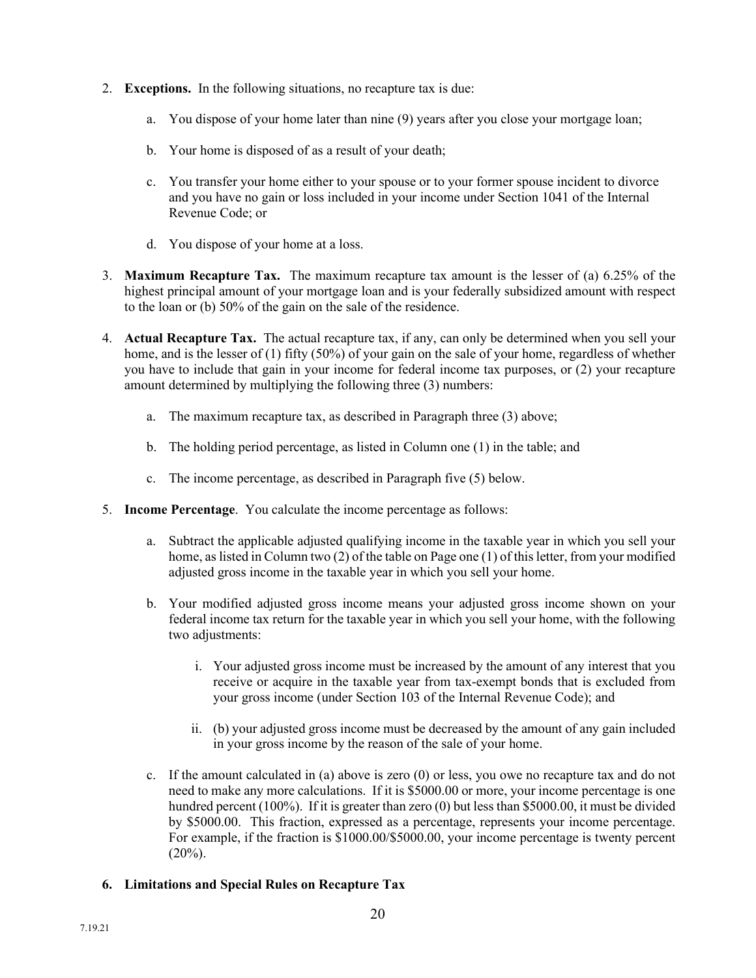- 2. **Exceptions.** In the following situations, no recapture tax is due:
	- a. You dispose of your home later than nine (9) years after you close your mortgage loan;
	- b. Your home is disposed of as a result of your death;
	- c. You transfer your home either to your spouse or to your former spouse incident to divorce and you have no gain or loss included in your income under Section 1041 of the Internal Revenue Code; or
	- d. You dispose of your home at a loss.
- 3. **Maximum Recapture Tax.** The maximum recapture tax amount is the lesser of (a) 6.25% of the highest principal amount of your mortgage loan and is your federally subsidized amount with respect to the loan or (b) 50% of the gain on the sale of the residence.
- 4. **Actual Recapture Tax.** The actual recapture tax, if any, can only be determined when you sell your home, and is the lesser of (1) fifty (50%) of your gain on the sale of your home, regardless of whether you have to include that gain in your income for federal income tax purposes, or (2) your recapture amount determined by multiplying the following three (3) numbers:
	- a. The maximum recapture tax, as described in Paragraph three (3) above;
	- b. The holding period percentage, as listed in Column one (1) in the table; and
	- c. The income percentage, as described in Paragraph five (5) below.
- 5. **Income Percentage**. You calculate the income percentage as follows:
	- a. Subtract the applicable adjusted qualifying income in the taxable year in which you sell your home, as listed in Column two (2) of the table on Page one (1) of this letter, from your modified adjusted gross income in the taxable year in which you sell your home.
	- b. Your modified adjusted gross income means your adjusted gross income shown on your federal income tax return for the taxable year in which you sell your home, with the following two adjustments:
		- i. Your adjusted gross income must be increased by the amount of any interest that you receive or acquire in the taxable year from tax-exempt bonds that is excluded from your gross income (under Section 103 of the Internal Revenue Code); and
		- ii. (b) your adjusted gross income must be decreased by the amount of any gain included in your gross income by the reason of the sale of your home.
	- c. If the amount calculated in (a) above is zero (0) or less, you owe no recapture tax and do not need to make any more calculations. If it is \$5000.00 or more, your income percentage is one hundred percent (100%). If it is greater than zero (0) but less than \$5000.00, it must be divided by \$5000.00. This fraction, expressed as a percentage, represents your income percentage. For example, if the fraction is \$1000.00/\$5000.00, your income percentage is twenty percent  $(20\%)$ .
- **6. Limitations and Special Rules on Recapture Tax**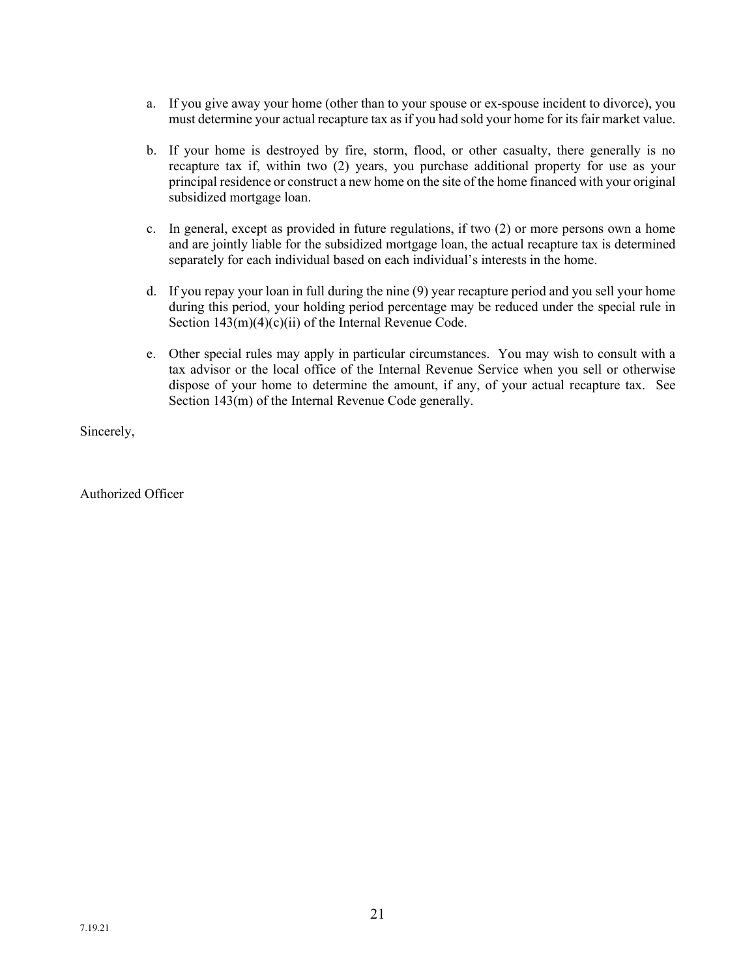- a. If you give away your home (other than to your spouse or ex-spouse incident to divorce), you must determine your actual recapture tax as if you had sold your home for its fair market value.
- b. If your home is destroyed by fire, storm, flood, or other casualty, there generally is no recapture tax if, within two (2) years, you purchase additional property for use as your principal residence or construct a new home on the site of the home financed with your original subsidized mortgage loan.
- c. In general, except as provided in future regulations, if two (2) or more persons own a home and are jointly liable for the subsidized mortgage loan, the actual recapture tax is determined separately for each individual based on each individual's interests in the home.
- d. If you repay your loan in full during the nine (9) year recapture period and you sell your home during this period, your holding period percentage may be reduced under the special rule in Section  $143(m)(4)(c)(ii)$  of the Internal Revenue Code.
- e. Other special rules may apply in particular circumstances. You may wish to consult with a tax advisor or the local office of the Internal Revenue Service when you sell or otherwise dispose of your home to determine the amount, if any, of your actual recapture tax. See Section 143(m) of the Internal Revenue Code generally.

Sincerely,

Authorized Officer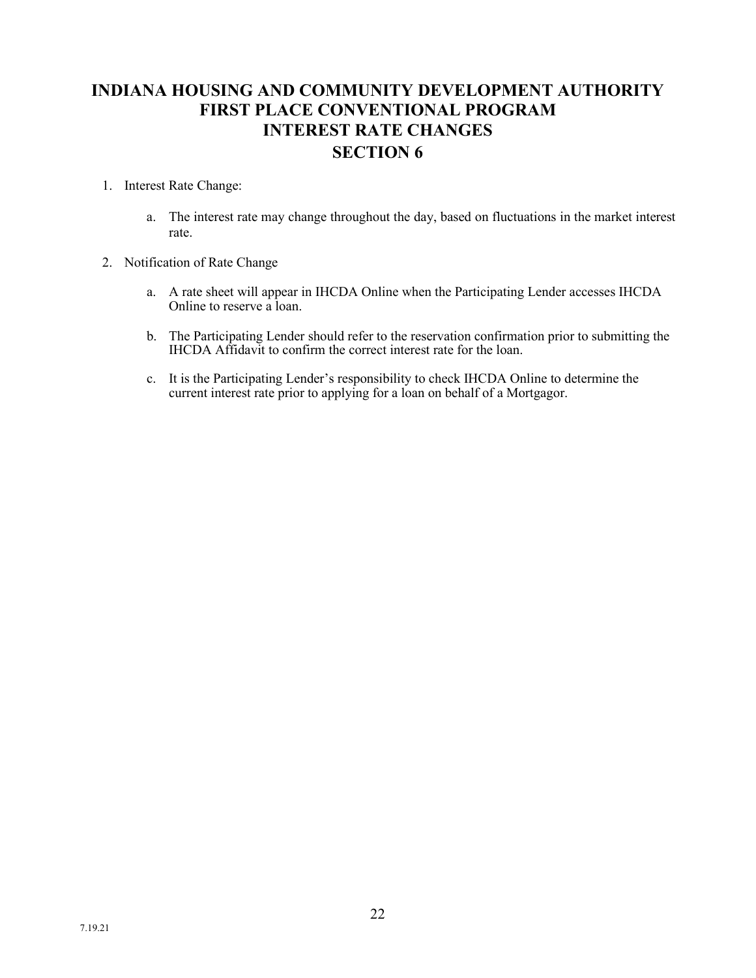## **INDIANA HOUSING AND COMMUNITY DEVELOPMENT AUTHORITY FIRST PLACE CONVENTIONAL PROGRAM INTEREST RATE CHANGES SECTION 6**

### 1. Interest Rate Change:

- a. The interest rate may change throughout the day, based on fluctuations in the market interest rate.
- 2. Notification of Rate Change
	- a. A rate sheet will appear in IHCDA Online when the Participating Lender accesses IHCDA Online to reserve a loan.
	- b. The Participating Lender should refer to the reservation confirmation prior to submitting the IHCDA Affidavit to confirm the correct interest rate for the loan.
	- c. It is the Participating Lender's responsibility to check IHCDA Online to determine the current interest rate prior to applying for a loan on behalf of a Mortgagor.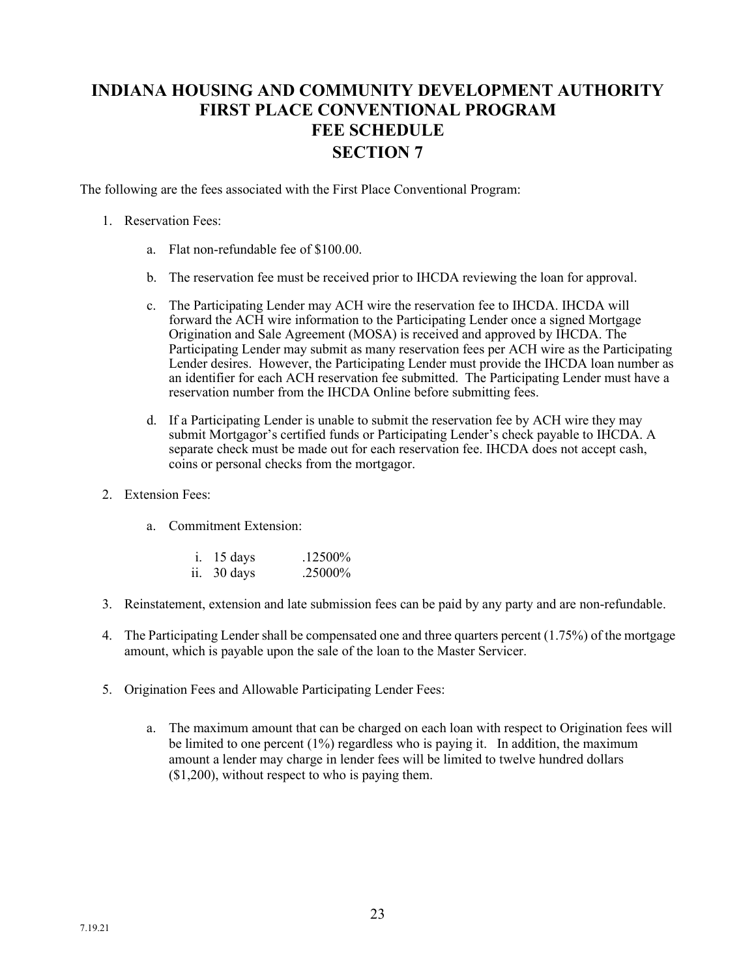## **INDIANA HOUSING AND COMMUNITY DEVELOPMENT AUTHORITY FIRST PLACE CONVENTIONAL PROGRAM FEE SCHEDULE SECTION 7**

The following are the fees associated with the First Place Conventional Program:

### 1. Reservation Fees:

- a. Flat non-refundable fee of \$100.00.
- b. The reservation fee must be received prior to IHCDA reviewing the loan for approval.
- c. The Participating Lender may ACH wire the reservation fee to IHCDA. IHCDA will forward the ACH wire information to the Participating Lender once a signed Mortgage Origination and Sale Agreement (MOSA) is received and approved by IHCDA. The Participating Lender may submit as many reservation fees per ACH wire as the Participating Lender desires. However, the Participating Lender must provide the IHCDA loan number as an identifier for each ACH reservation fee submitted. The Participating Lender must have a reservation number from the IHCDA Online before submitting fees.
- d. If a Participating Lender is unable to submit the reservation fee by ACH wire they may submit Mortgagor's certified funds or Participating Lender's check payable to IHCDA. A separate check must be made out for each reservation fee. IHCDA does not accept cash, coins or personal checks from the mortgagor.
- 2. Extension Fees:
	- a. Commitment Extension:

| $i.$ 15 days | .12500%  |
|--------------|----------|
| ii. 30 days  | .25000\% |

- 3. Reinstatement, extension and late submission fees can be paid by any party and are non-refundable.
- 4. The Participating Lender shall be compensated one and three quarters percent (1.75%) of the mortgage amount, which is payable upon the sale of the loan to the Master Servicer.
- 5. Origination Fees and Allowable Participating Lender Fees:
	- a. The maximum amount that can be charged on each loan with respect to Origination fees will be limited to one percent (1%) regardless who is paying it. In addition, the maximum amount a lender may charge in lender fees will be limited to twelve hundred dollars (\$1,200), without respect to who is paying them.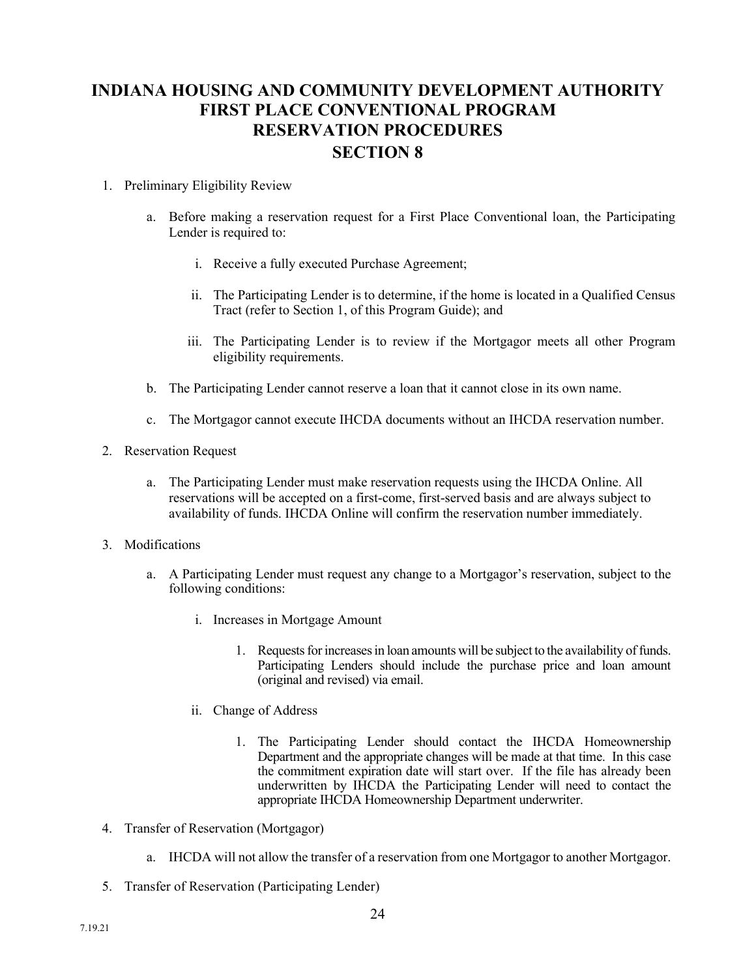## **INDIANA HOUSING AND COMMUNITY DEVELOPMENT AUTHORITY FIRST PLACE CONVENTIONAL PROGRAM RESERVATION PROCEDURES SECTION 8**

### 1. Preliminary Eligibility Review

- a. Before making a reservation request for a First Place Conventional loan, the Participating Lender is required to:
	- i. Receive a fully executed Purchase Agreement;
	- ii. The Participating Lender is to determine, if the home is located in a Qualified Census Tract (refer to Section 1, of this Program Guide); and
	- iii. The Participating Lender is to review if the Mortgagor meets all other Program eligibility requirements.
- b. The Participating Lender cannot reserve a loan that it cannot close in its own name.
- c. The Mortgagor cannot execute IHCDA documents without an IHCDA reservation number.
- 2. Reservation Request
	- a. The Participating Lender must make reservation requests using the IHCDA Online. All reservations will be accepted on a first-come, first-served basis and are always subject to availability of funds. IHCDA Online will confirm the reservation number immediately.
- 3. Modifications
	- a. A Participating Lender must request any change to a Mortgagor's reservation, subject to the following conditions:
		- i. Increases in Mortgage Amount
			- 1. Requests for increases in loan amounts will be subject to the availability of funds. Participating Lenders should include the purchase price and loan amount (original and revised) via email.
		- ii. Change of Address
			- 1. The Participating Lender should contact the IHCDA Homeownership Department and the appropriate changes will be made at that time. In this case the commitment expiration date will start over. If the file has already been underwritten by IHCDA the Participating Lender will need to contact the appropriate IHCDA Homeownership Department underwriter.
- 4. Transfer of Reservation (Mortgagor)
	- a. IHCDA will not allow the transfer of a reservation from one Mortgagor to another Mortgagor.
- 5. Transfer of Reservation (Participating Lender)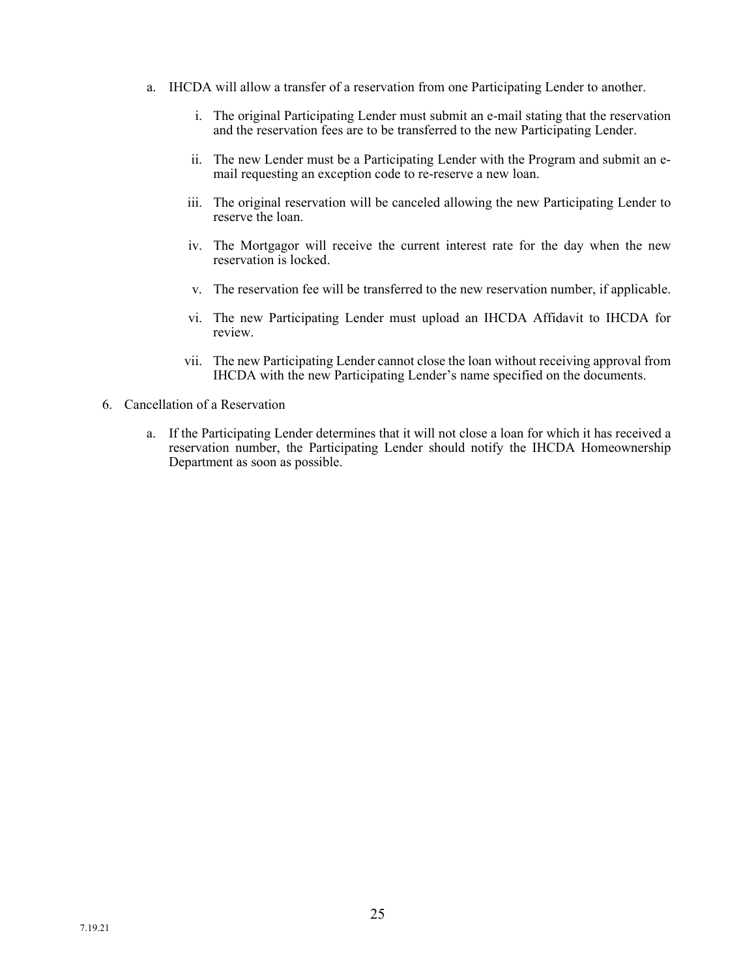- a. IHCDA will allow a transfer of a reservation from one Participating Lender to another.
	- i. The original Participating Lender must submit an e-mail stating that the reservation and the reservation fees are to be transferred to the new Participating Lender.
	- ii. The new Lender must be a Participating Lender with the Program and submit an email requesting an exception code to re-reserve a new loan.
	- iii. The original reservation will be canceled allowing the new Participating Lender to reserve the loan.
	- iv. The Mortgagor will receive the current interest rate for the day when the new reservation is locked.
	- v. The reservation fee will be transferred to the new reservation number, if applicable.
	- vi. The new Participating Lender must upload an IHCDA Affidavit to IHCDA for review.
	- vii. The new Participating Lender cannot close the loan without receiving approval from IHCDA with the new Participating Lender's name specified on the documents.
- 6. Cancellation of a Reservation
	- a. If the Participating Lender determines that it will not close a loan for which it has received a reservation number, the Participating Lender should notify the IHCDA Homeownership Department as soon as possible.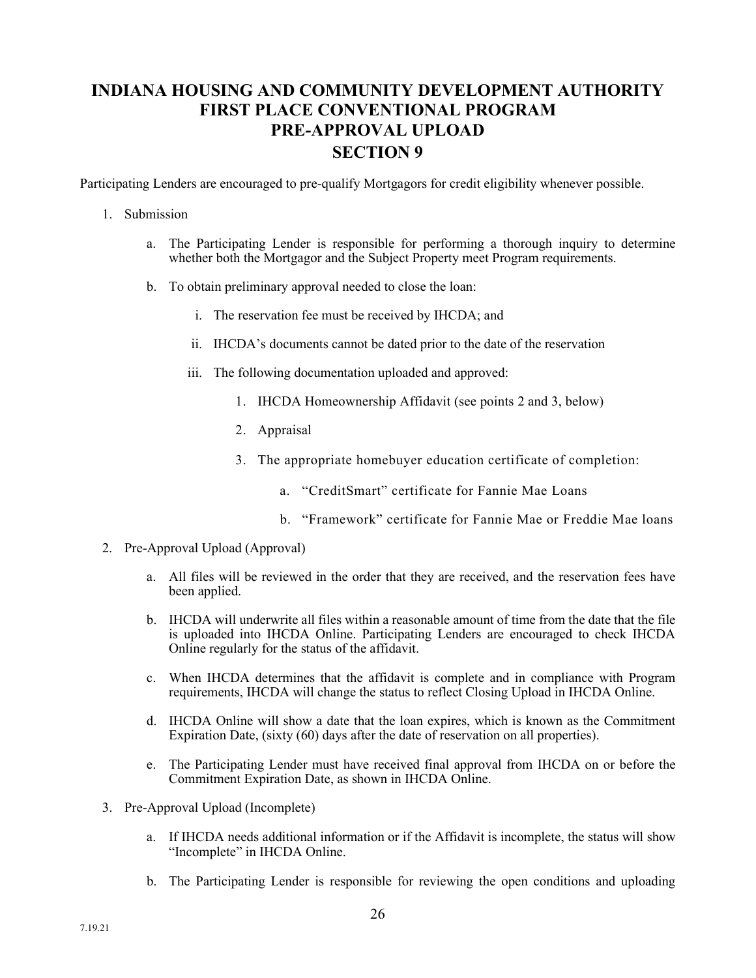## **INDIANA HOUSING AND COMMUNITY DEVELOPMENT AUTHORITY FIRST PLACE CONVENTIONAL PROGRAM PRE-APPROVAL UPLOAD SECTION 9**

Participating Lenders are encouraged to pre-qualify Mortgagors for credit eligibility whenever possible.

#### 1. Submission

- a. The Participating Lender is responsible for performing a thorough inquiry to determine whether both the Mortgagor and the Subject Property meet Program requirements.
- b. To obtain preliminary approval needed to close the loan:
	- i. The reservation fee must be received by IHCDA; and
	- ii. IHCDA's documents cannot be dated prior to the date of the reservation
	- iii. The following documentation uploaded and approved:
		- 1. IHCDA Homeownership Affidavit (see points 2 and 3, below)
		- 2. Appraisal
		- 3. The appropriate homebuyer education certificate of completion:
			- a. "CreditSmart" certificate for Fannie Mae Loans
			- b. "Framework" certificate for Fannie Mae or Freddie Mae loans
- 2. Pre-Approval Upload (Approval)
	- a. All files will be reviewed in the order that they are received, and the reservation fees have been applied.
	- b. IHCDA will underwrite all files within a reasonable amount of time from the date that the file is uploaded into IHCDA Online. Participating Lenders are encouraged to check IHCDA Online regularly for the status of the affidavit.
	- c. When IHCDA determines that the affidavit is complete and in compliance with Program requirements, IHCDA will change the status to reflect Closing Upload in IHCDA Online.
	- d. IHCDA Online will show a date that the loan expires, which is known as the Commitment Expiration Date, (sixty (60) days after the date of reservation on all properties).
	- e. The Participating Lender must have received final approval from IHCDA on or before the Commitment Expiration Date, as shown in IHCDA Online.
- 3. Pre-Approval Upload (Incomplete)
	- a. If IHCDA needs additional information or if the Affidavit is incomplete, the status will show "Incomplete" in IHCDA Online.
	- b. The Participating Lender is responsible for reviewing the open conditions and uploading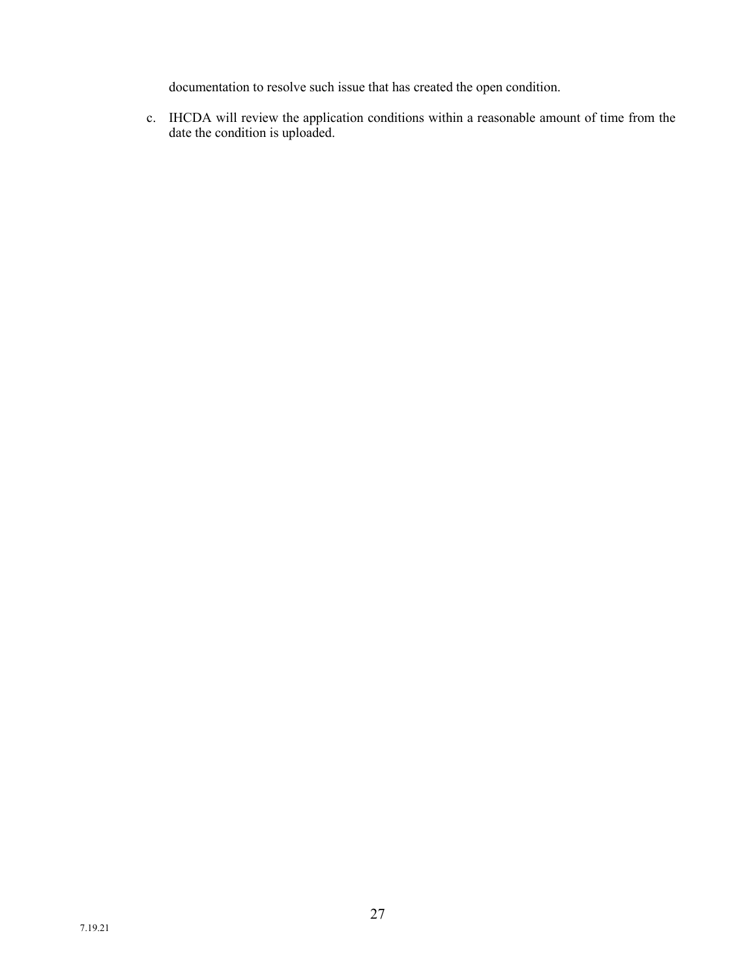documentation to resolve such issue that has created the open condition.

c. IHCDA will review the application conditions within a reasonable amount of time from the date the condition is uploaded.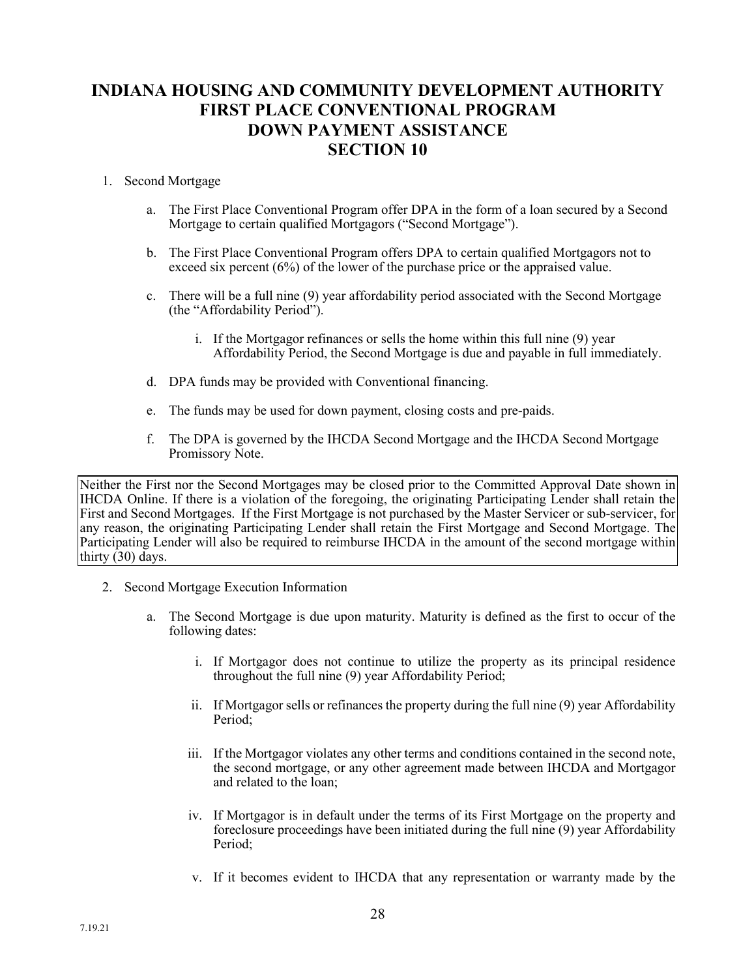## **INDIANA HOUSING AND COMMUNITY DEVELOPMENT AUTHORITY FIRST PLACE CONVENTIONAL PROGRAM DOWN PAYMENT ASSISTANCE SECTION 10**

#### 1. Second Mortgage

- a. The First Place Conventional Program offer DPA in the form of a loan secured by a Second Mortgage to certain qualified Mortgagors ("Second Mortgage").
- b. The First Place Conventional Program offers DPA to certain qualified Mortgagors not to exceed six percent (6%) of the lower of the purchase price or the appraised value.
- c. There will be a full nine (9) year affordability period associated with the Second Mortgage (the "Affordability Period").
	- i. If the Mortgagor refinances or sells the home within this full nine (9) year Affordability Period, the Second Mortgage is due and payable in full immediately.
- d. DPA funds may be provided with Conventional financing.
- e. The funds may be used for down payment, closing costs and pre-paids.
- f. The DPA is governed by the IHCDA Second Mortgage and the IHCDA Second Mortgage Promissory Note.

Neither the First nor the Second Mortgages may be closed prior to the Committed Approval Date shown in IHCDA Online. If there is a violation of the foregoing, the originating Participating Lender shall retain the First and Second Mortgages. If the First Mortgage is not purchased by the Master Servicer or sub-servicer, for any reason, the originating Participating Lender shall retain the First Mortgage and Second Mortgage. The Participating Lender will also be required to reimburse IHCDA in the amount of the second mortgage within thirty  $(30)$  days.

- 2. Second Mortgage Execution Information
	- a. The Second Mortgage is due upon maturity. Maturity is defined as the first to occur of the following dates:
		- i. If Mortgagor does not continue to utilize the property as its principal residence throughout the full nine (9) year Affordability Period;
		- ii. If Mortgagor sells or refinances the property during the full nine (9) year Affordability Period:
		- iii. If the Mortgagor violates any other terms and conditions contained in the second note, the second mortgage, or any other agreement made between IHCDA and Mortgagor and related to the loan;
		- iv. If Mortgagor is in default under the terms of its First Mortgage on the property and foreclosure proceedings have been initiated during the full nine (9) year Affordability Period;
		- v. If it becomes evident to IHCDA that any representation or warranty made by the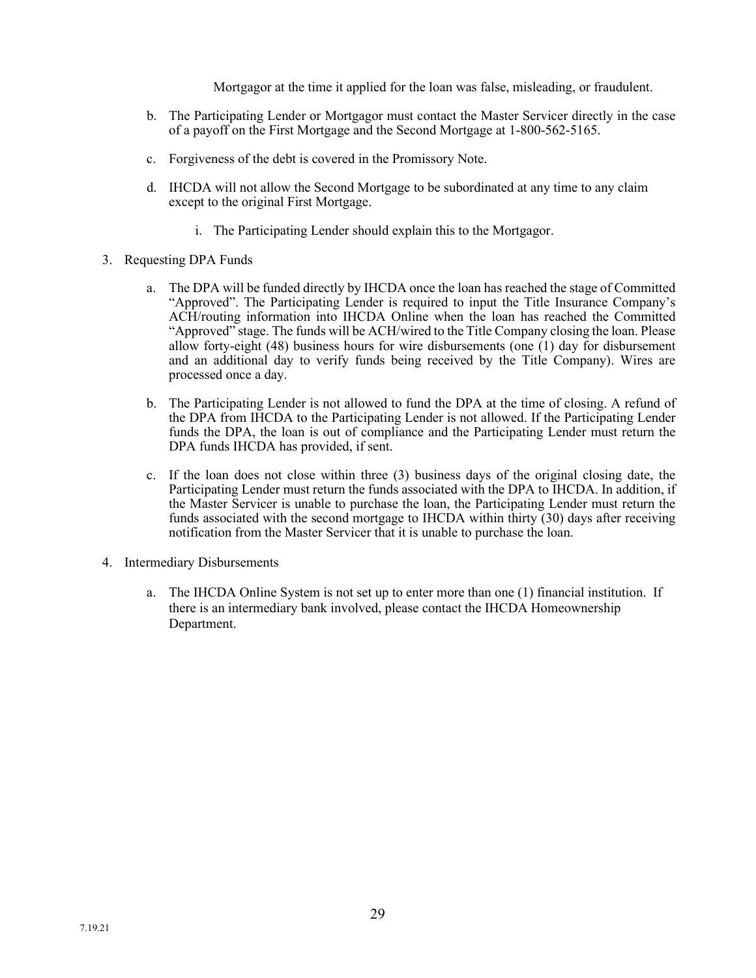Mortgagor at the time it applied for the loan was false, misleading, or fraudulent.

- b. The Participating Lender or Mortgagor must contact the Master Servicer directly in the case of a payoff on the First Mortgage and the Second Mortgage at 1-800-562-5165.
- c. Forgiveness of the debt is covered in the Promissory Note.
- d. IHCDA will not allow the Second Mortgage to be subordinated at any time to any claim except to the original First Mortgage.
	- i. The Participating Lender should explain this to the Mortgagor.
- 3. Requesting DPA Funds
	- a. The DPA will be funded directly by IHCDA once the loan has reached the stage of Committed "Approved". The Participating Lender is required to input the Title Insurance Company's ACH/routing information into IHCDA Online when the loan has reached the Committed "Approved" stage. The funds will be ACH/wired to the Title Company closing the loan. Please allow forty-eight (48) business hours for wire disbursements (one (1) day for disbursement and an additional day to verify funds being received by the Title Company). Wires are processed once a day.
	- b. The Participating Lender is not allowed to fund the DPA at the time of closing. A refund of the DPA from IHCDA to the Participating Lender is not allowed. If the Participating Lender funds the DPA, the loan is out of compliance and the Participating Lender must return the DPA funds IHCDA has provided, if sent.
	- c. If the loan does not close within three (3) business days of the original closing date, the Participating Lender must return the funds associated with the DPA to IHCDA. In addition, if the Master Servicer is unable to purchase the loan, the Participating Lender must return the funds associated with the second mortgage to IHCDA within thirty (30) days after receiving notification from the Master Servicer that it is unable to purchase the loan.
- 4. Intermediary Disbursements
	- a. The IHCDA Online System is not set up to enter more than one (1) financial institution. If there is an intermediary bank involved, please contact the IHCDA Homeownership Department.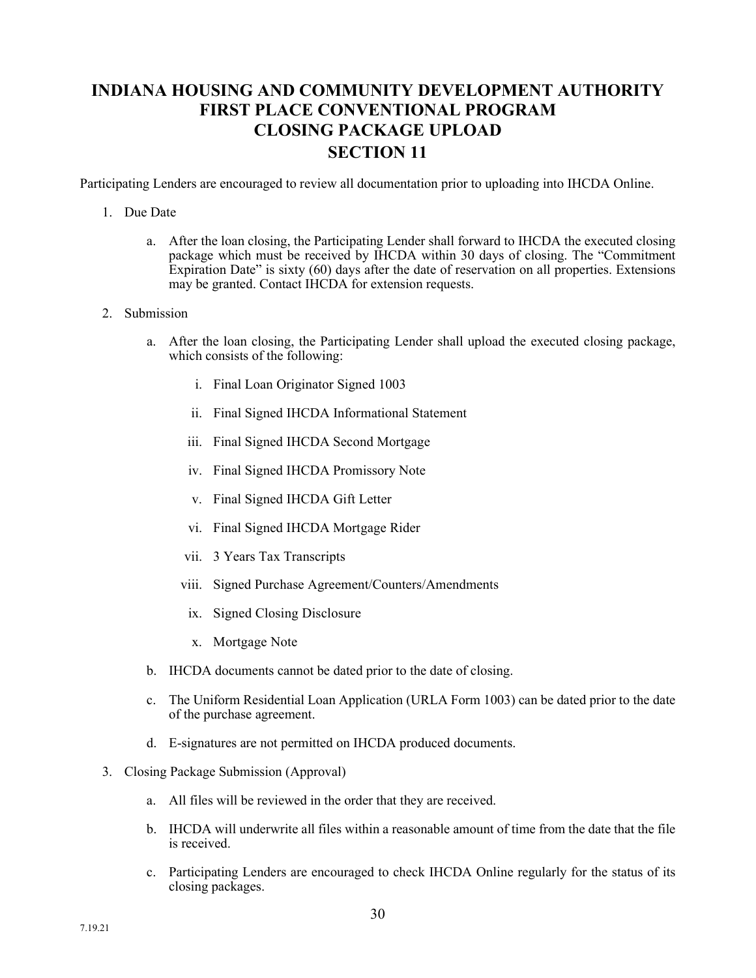## **INDIANA HOUSING AND COMMUNITY DEVELOPMENT AUTHORITY FIRST PLACE CONVENTIONAL PROGRAM CLOSING PACKAGE UPLOAD SECTION 11**

Participating Lenders are encouraged to review all documentation prior to uploading into IHCDA Online.

#### 1. Due Date

a. After the loan closing, the Participating Lender shall forward to IHCDA the executed closing package which must be received by IHCDA within 30 days of closing. The "Commitment Expiration Date" is sixty (60) days after the date of reservation on all properties. Extensions may be granted. Contact IHCDA for extension requests.

#### 2. Submission

- a. After the loan closing, the Participating Lender shall upload the executed closing package, which consists of the following:
	- i. Final Loan Originator Signed 1003
	- ii. Final Signed IHCDA Informational Statement
	- iii. Final Signed IHCDA Second Mortgage
	- iv. Final Signed IHCDA Promissory Note
	- v. Final Signed IHCDA Gift Letter
	- vi. Final Signed IHCDA Mortgage Rider
	- vii. 3 Years Tax Transcripts
	- viii. Signed Purchase Agreement/Counters/Amendments
	- ix. Signed Closing Disclosure
	- x. Mortgage Note
- b. IHCDA documents cannot be dated prior to the date of closing.
- c. The Uniform Residential Loan Application (URLA Form 1003) can be dated prior to the date of the purchase agreement.
- d. E-signatures are not permitted on IHCDA produced documents.

#### 3. Closing Package Submission (Approval)

- a. All files will be reviewed in the order that they are received.
- b. IHCDA will underwrite all files within a reasonable amount of time from the date that the file is received.
- c. Participating Lenders are encouraged to check IHCDA Online regularly for the status of its closing packages.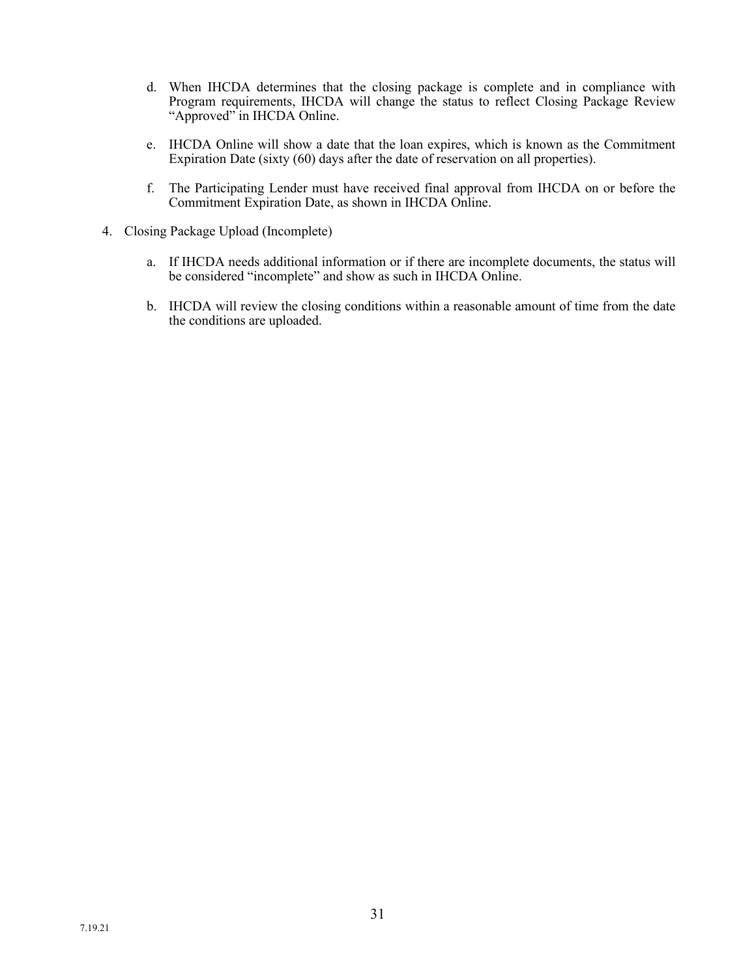- d. When IHCDA determines that the closing package is complete and in compliance with Program requirements, IHCDA will change the status to reflect Closing Package Review "Approved" in IHCDA Online.
- e. IHCDA Online will show a date that the loan expires, which is known as the Commitment Expiration Date (sixty (60) days after the date of reservation on all properties).
- f. The Participating Lender must have received final approval from IHCDA on or before the Commitment Expiration Date, as shown in IHCDA Online.
- 4. Closing Package Upload (Incomplete)
	- a. If IHCDA needs additional information or if there are incomplete documents, the status will be considered "incomplete" and show as such in IHCDA Online.
	- b. IHCDA will review the closing conditions within a reasonable amount of time from the date the conditions are uploaded.